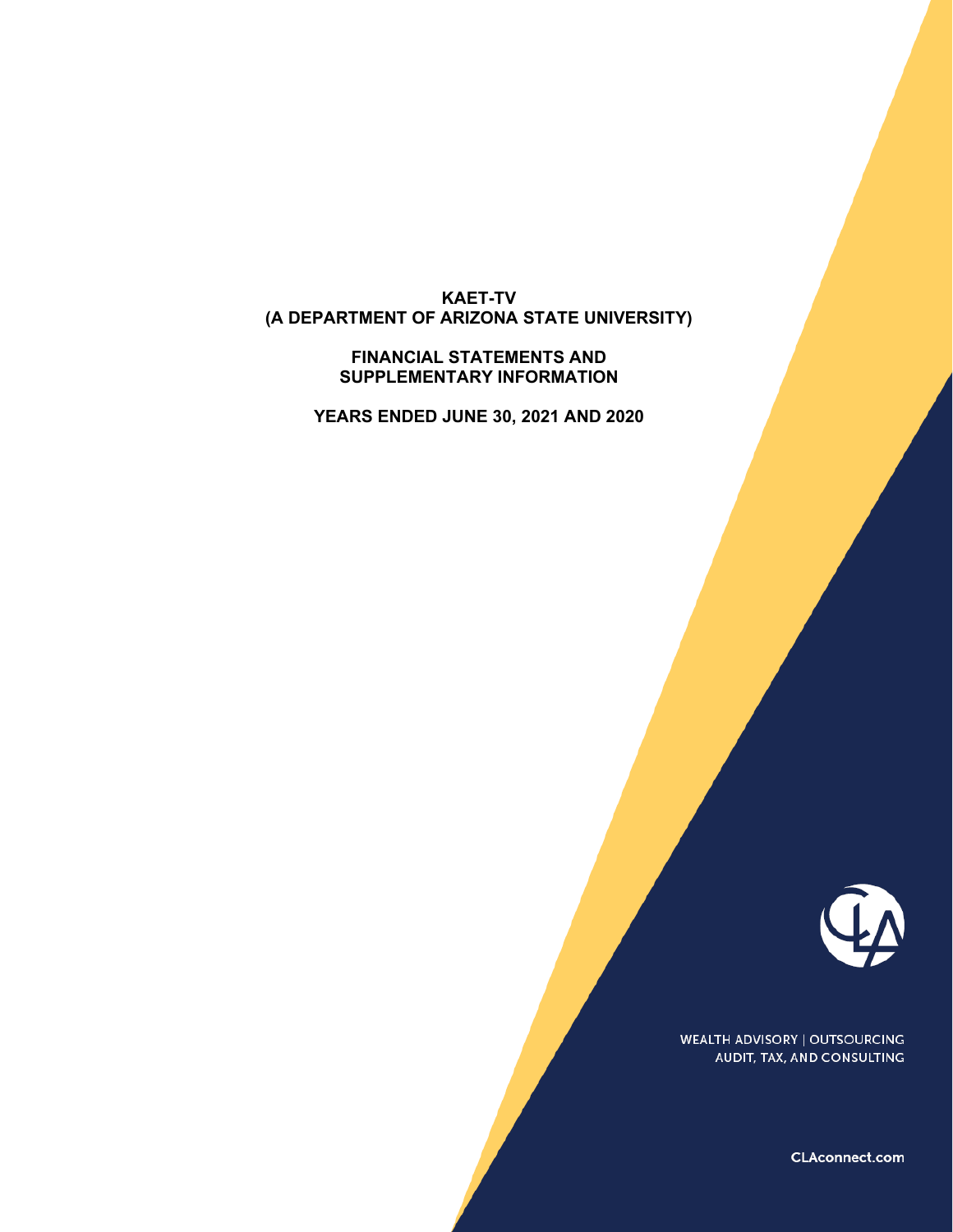**KAET-TV (A DEPARTMENT OF ARIZONA STATE UNIVERSITY)**

### **FINANCIAL STATEMENTS AND SUPPLEMENTARY INFORMATION**

**YEARS ENDED JUNE 30, 2021 AND 2020**



**WEALTH ADVISORY | OUTSOURCING** AUDIT, TAX, AND CONSULTING

CLAconnect.com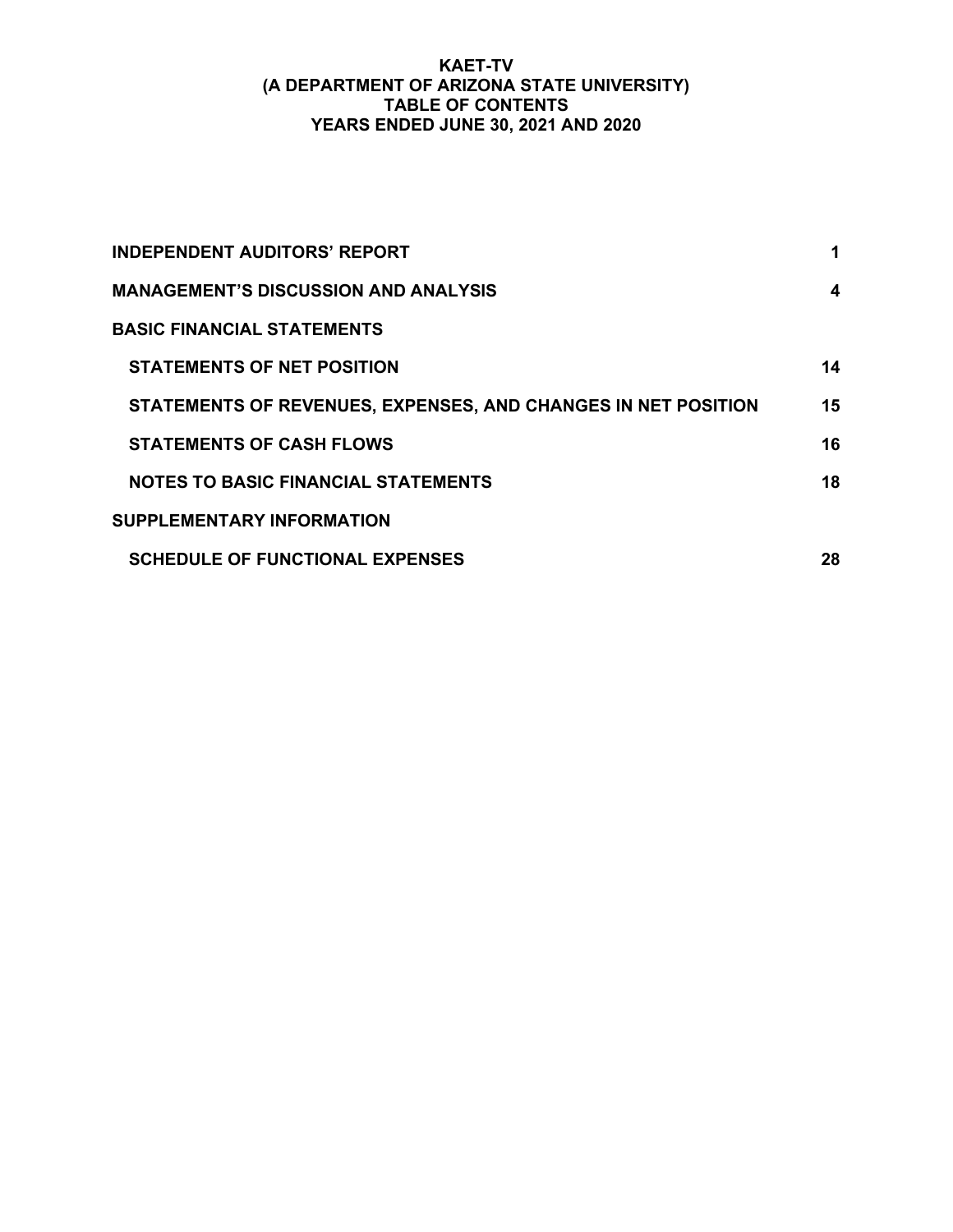# **KAET-TV (A DEPARTMENT OF ARIZONA STATE UNIVERSITY) TABLE OF CONTENTS YEARS ENDED JUNE 30, 2021 AND 2020**

| <b>INDEPENDENT AUDITORS' REPORT</b>                           |    |
|---------------------------------------------------------------|----|
| <b>MANAGEMENT'S DISCUSSION AND ANALYSIS</b>                   | 4  |
| <b>BASIC FINANCIAL STATEMENTS</b>                             |    |
| <b>STATEMENTS OF NET POSITION</b>                             | 14 |
| STATEMENTS OF REVENUES, EXPENSES, AND CHANGES IN NET POSITION | 15 |
| <b>STATEMENTS OF CASH FLOWS</b>                               | 16 |
| <b>NOTES TO BASIC FINANCIAL STATEMENTS</b>                    | 18 |
| <b>SUPPLEMENTARY INFORMATION</b>                              |    |
| <b>SCHEDULE OF FUNCTIONAL EXPENSES</b>                        | 28 |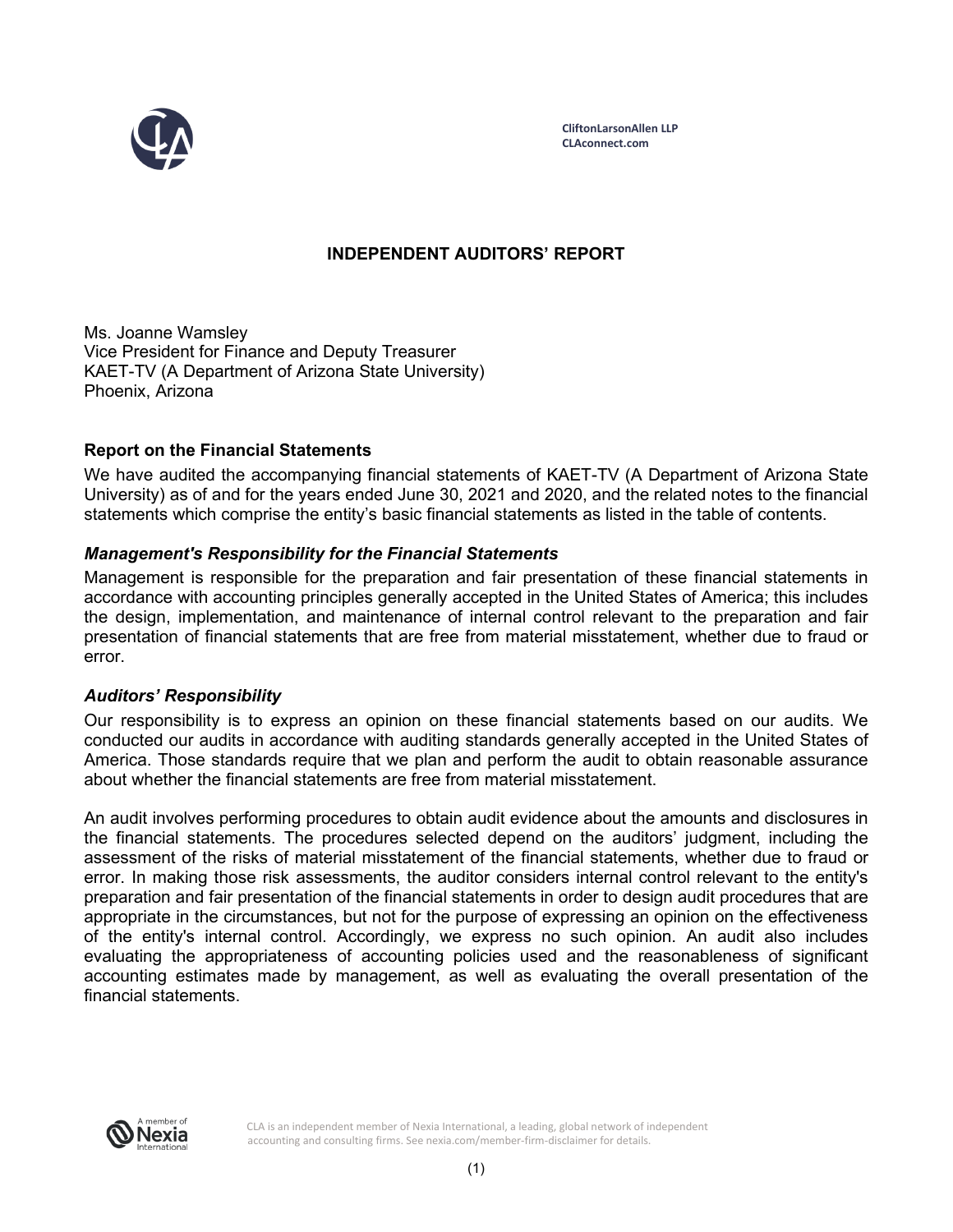

# **INDEPENDENT AUDITORS' REPORT**

Ms. Joanne Wamsley Vice President for Finance and Deputy Treasurer KAET-TV (A Department of Arizona State University) Phoenix, Arizona

# **Report on the Financial Statements**

We have audited the accompanying financial statements of KAET-TV (A Department of Arizona State University) as of and for the years ended June 30, 2021 and 2020, and the related notes to the financial statements which comprise the entity's basic financial statements as listed in the table of contents.

# *Management's Responsibility for the Financial Statements*

Management is responsible for the preparation and fair presentation of these financial statements in accordance with accounting principles generally accepted in the United States of America; this includes the design, implementation, and maintenance of internal control relevant to the preparation and fair presentation of financial statements that are free from material misstatement, whether due to fraud or error.

# *Auditors' Responsibility*

Our responsibility is to express an opinion on these financial statements based on our audits. We conducted our audits in accordance with auditing standards generally accepted in the United States of America. Those standards require that we plan and perform the audit to obtain reasonable assurance about whether the financial statements are free from material misstatement.

An audit involves performing procedures to obtain audit evidence about the amounts and disclosures in the financial statements. The procedures selected depend on the auditors' judgment, including the assessment of the risks of material misstatement of the financial statements, whether due to fraud or error. In making those risk assessments, the auditor considers internal control relevant to the entity's preparation and fair presentation of the financial statements in order to design audit procedures that are appropriate in the circumstances, but not for the purpose of expressing an opinion on the effectiveness of the entity's internal control. Accordingly, we express no such opinion. An audit also includes evaluating the appropriateness of accounting policies used and the reasonableness of significant accounting estimates made by management, as well as evaluating the overall presentation of the financial statements.



CLA is an independent member of Nexia International, a leading, global network of independent accounting and consulting firms. See nexia.com/member-firm-disclaimer for details.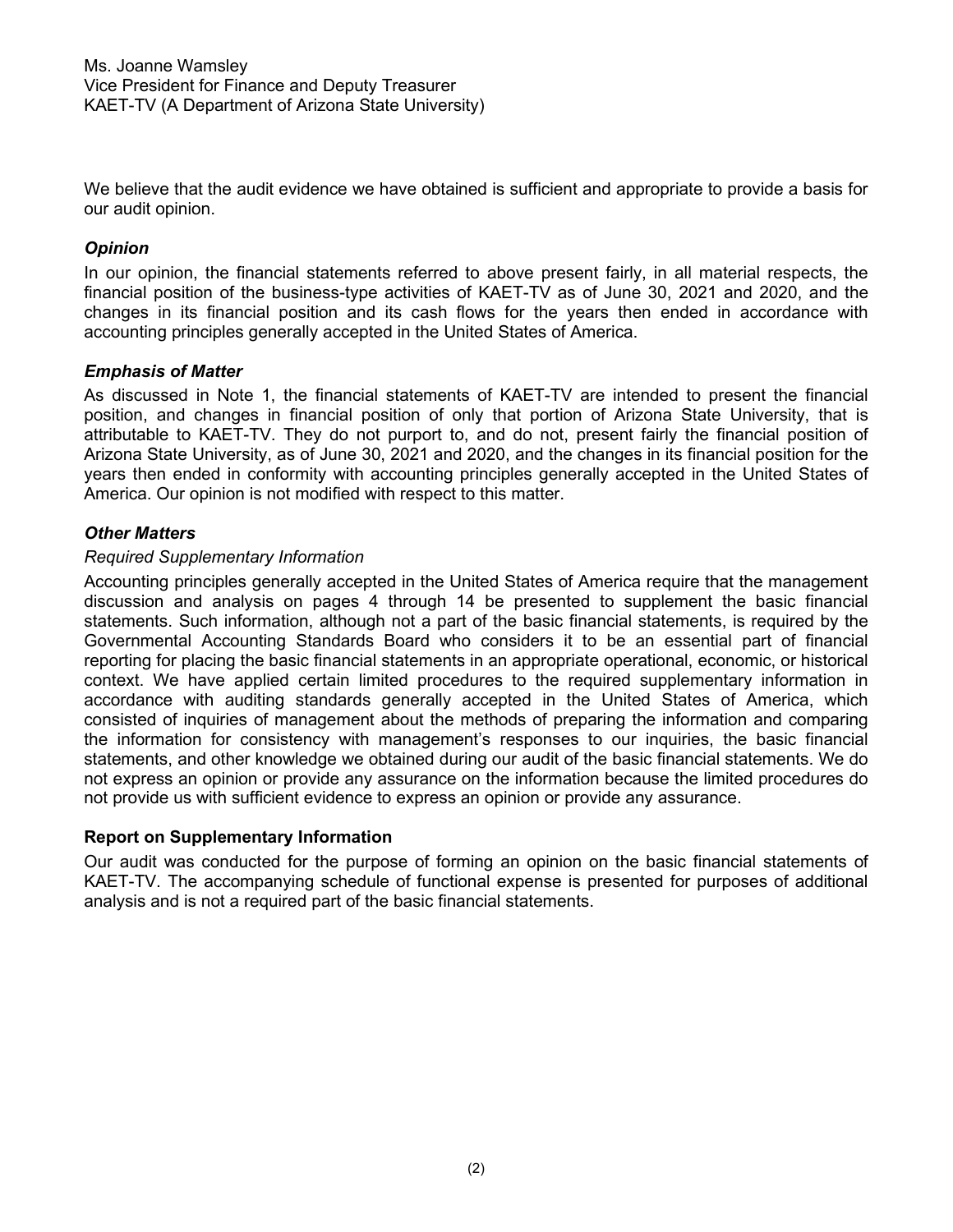We believe that the audit evidence we have obtained is sufficient and appropriate to provide a basis for our audit opinion.

# *Opinion*

In our opinion, the financial statements referred to above present fairly, in all material respects, the financial position of the business-type activities of KAET-TV as of June 30, 2021 and 2020, and the changes in its financial position and its cash flows for the years then ended in accordance with accounting principles generally accepted in the United States of America.

# *Emphasis of Matter*

As discussed in Note 1, the financial statements of KAET-TV are intended to present the financial position, and changes in financial position of only that portion of Arizona State University, that is attributable to KAET-TV. They do not purport to, and do not, present fairly the financial position of Arizona State University, as of June 30, 2021 and 2020, and the changes in its financial position for the years then ended in conformity with accounting principles generally accepted in the United States of America. Our opinion is not modified with respect to this matter.

# *Other Matters*

# *Required Supplementary Information*

Accounting principles generally accepted in the United States of America require that the management discussion and analysis on pages 4 through 14 be presented to supplement the basic financial statements. Such information, although not a part of the basic financial statements, is required by the Governmental Accounting Standards Board who considers it to be an essential part of financial reporting for placing the basic financial statements in an appropriate operational, economic, or historical context. We have applied certain limited procedures to the required supplementary information in accordance with auditing standards generally accepted in the United States of America, which consisted of inquiries of management about the methods of preparing the information and comparing the information for consistency with management's responses to our inquiries, the basic financial statements, and other knowledge we obtained during our audit of the basic financial statements. We do not express an opinion or provide any assurance on the information because the limited procedures do not provide us with sufficient evidence to express an opinion or provide any assurance.

# **Report on Supplementary Information**

Our audit was conducted for the purpose of forming an opinion on the basic financial statements of KAET-TV. The accompanying schedule of functional expense is presented for purposes of additional analysis and is not a required part of the basic financial statements.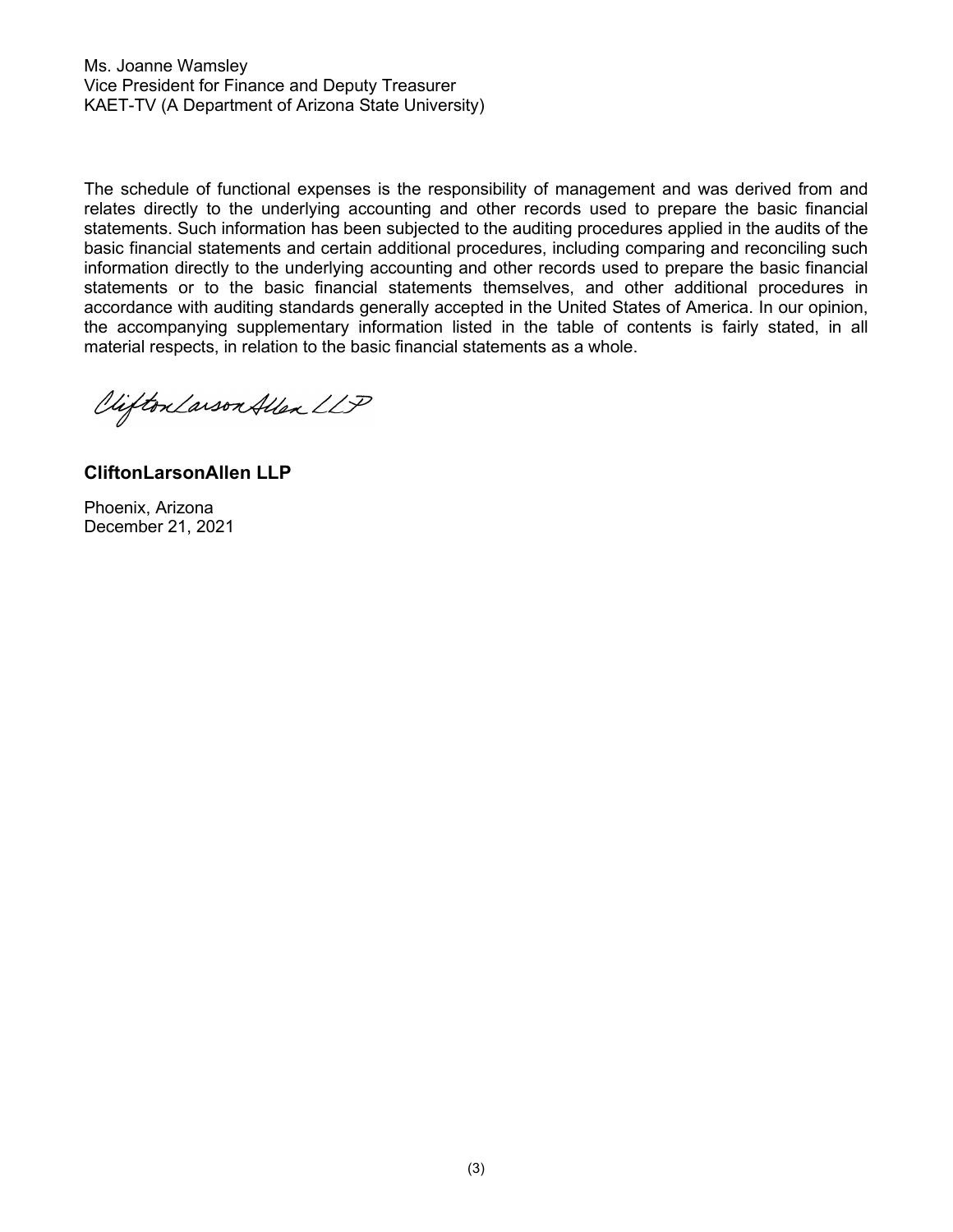Ms. Joanne Wamsley Vice President for Finance and Deputy Treasurer KAET-TV (A Department of Arizona State University)

The schedule of functional expenses is the responsibility of management and was derived from and relates directly to the underlying accounting and other records used to prepare the basic financial statements. Such information has been subjected to the auditing procedures applied in the audits of the basic financial statements and certain additional procedures, including comparing and reconciling such information directly to the underlying accounting and other records used to prepare the basic financial statements or to the basic financial statements themselves, and other additional procedures in accordance with auditing standards generally accepted in the United States of America. In our opinion, the accompanying supplementary information listed in the table of contents is fairly stated, in all material respects, in relation to the basic financial statements as a whole.

Vifton Larson Allen LLP

**CliftonLarsonAllen LLP**

Phoenix, Arizona December 21, 2021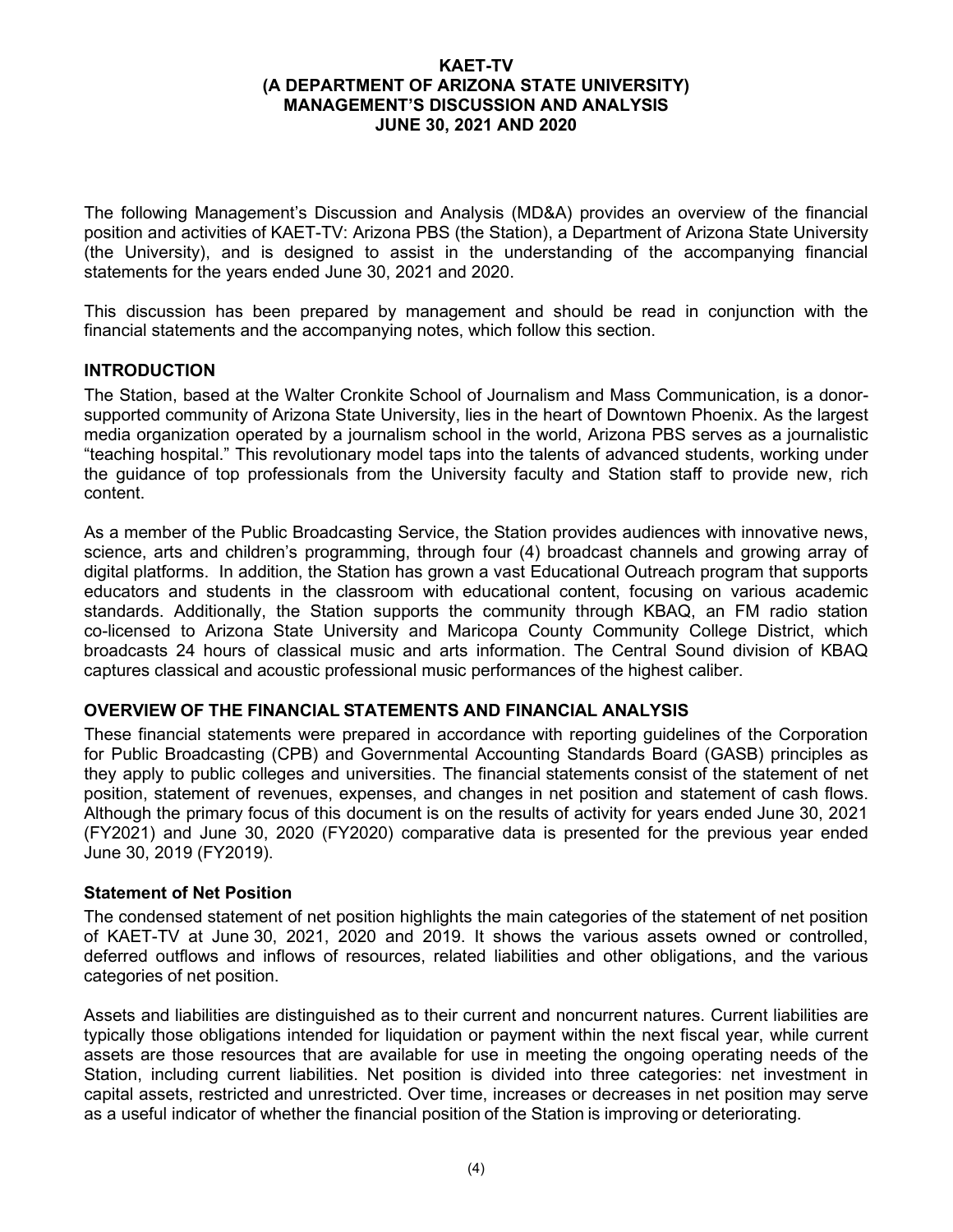The following Management's Discussion and Analysis (MD&A) provides an overview of the financial position and activities of KAET-TV: Arizona PBS (the Station), a Department of Arizona State University (the University), and is designed to assist in the understanding of the accompanying financial statements for the years ended June 30, 2021 and 2020.

This discussion has been prepared by management and should be read in conjunction with the financial statements and the accompanying notes, which follow this section.

### **INTRODUCTION**

The Station, based at the Walter Cronkite School of Journalism and Mass Communication, is a donorsupported community of Arizona State University, lies in the heart of Downtown Phoenix. As the largest media organization operated by a journalism school in the world, Arizona PBS serves as a journalistic "teaching hospital." This revolutionary model taps into the talents of advanced students, working under the guidance of top professionals from the University faculty and Station staff to provide new, rich content.

As a member of the Public Broadcasting Service, the Station provides audiences with innovative news, science, arts and children's programming, through four (4) broadcast channels and growing array of digital platforms. In addition, the Station has grown a vast Educational Outreach program that supports educators and students in the classroom with educational content, focusing on various academic standards. Additionally, the Station supports the community through KBAQ, an FM radio station co-licensed to Arizona State University and Maricopa County Community College District, which broadcasts 24 hours of classical music and arts information. The Central Sound division of KBAQ captures classical and acoustic professional music performances of the highest caliber.

### **OVERVIEW OF THE FINANCIAL STATEMENTS AND FINANCIAL ANALYSIS**

These financial statements were prepared in accordance with reporting guidelines of the Corporation for Public Broadcasting (CPB) and Governmental Accounting Standards Board (GASB) principles as they apply to public colleges and universities. The financial statements consist of the statement of net position, statement of revenues, expenses, and changes in net position and statement of cash flows. Although the primary focus of this document is on the results of activity for years ended June 30, 2021 (FY2021) and June 30, 2020 (FY2020) comparative data is presented for the previous year ended June 30, 2019 (FY2019).

#### **Statement of Net Position**

The condensed statement of net position highlights the main categories of the statement of net position of KAET-TV at June 30, 2021, 2020 and 2019. It shows the various assets owned or controlled, deferred outflows and inflows of resources, related liabilities and other obligations, and the various categories of net position.

Assets and liabilities are distinguished as to their current and noncurrent natures. Current liabilities are typically those obligations intended for liquidation or payment within the next fiscal year, while current assets are those resources that are available for use in meeting the ongoing operating needs of the Station, including current liabilities. Net position is divided into three categories: net investment in capital assets, restricted and unrestricted. Over time, increases or decreases in net position may serve as a useful indicator of whether the financial position of the Station is improving or deteriorating.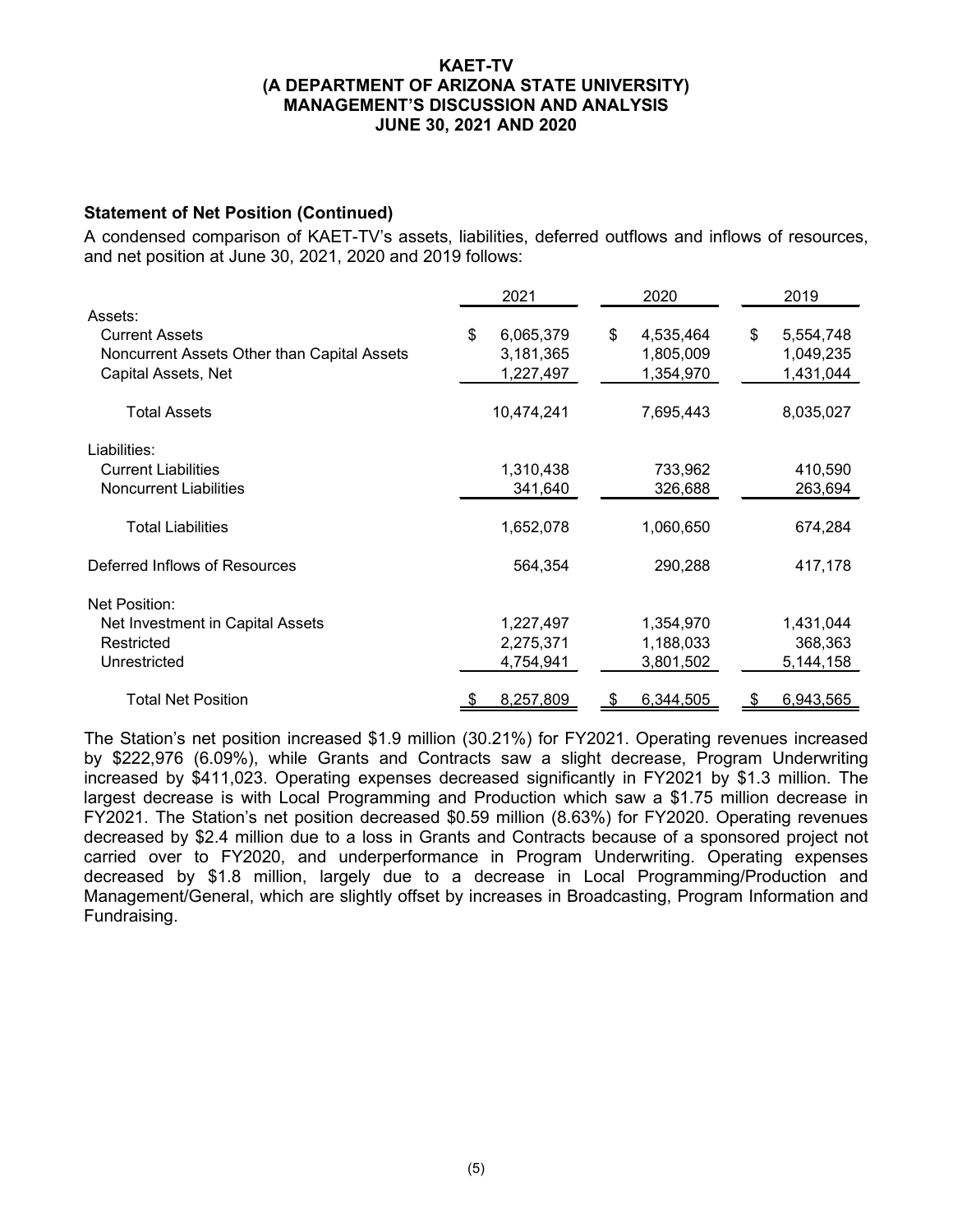# **Statement of Net Position (Continued)**

A condensed comparison of KAET-TV's assets, liabilities, deferred outflows and inflows of resources, and net position at June 30, 2021, 2020 and 2019 follows:

|                                             | 2021            | 2020            | 2019            |
|---------------------------------------------|-----------------|-----------------|-----------------|
| Assets:                                     |                 |                 |                 |
| <b>Current Assets</b>                       | \$<br>6,065,379 | \$<br>4,535,464 | \$<br>5,554,748 |
| Noncurrent Assets Other than Capital Assets | 3,181,365       | 1,805,009       | 1,049,235       |
| Capital Assets, Net                         | 1,227,497       | 1,354,970       | 1,431,044       |
| <b>Total Assets</b>                         | 10,474,241      | 7,695,443       | 8,035,027       |
| Liabilities:                                |                 |                 |                 |
| <b>Current Liabilities</b>                  | 1,310,438       | 733,962         | 410,590         |
| <b>Noncurrent Liabilities</b>               | 341,640         | 326,688         | 263,694         |
| <b>Total Liabilities</b>                    | 1,652,078       | 1,060,650       | 674,284         |
| Deferred Inflows of Resources               | 564,354         | 290,288         | 417,178         |
| Net Position:                               |                 |                 |                 |
| Net Investment in Capital Assets            | 1,227,497       | 1,354,970       | 1,431,044       |
| Restricted                                  | 2,275,371       | 1,188,033       | 368,363         |
| Unrestricted                                | 4,754,941       | 3,801,502       | 5,144,158       |
| <b>Total Net Position</b>                   | 8,257,809<br>\$ | 6,344,505<br>\$ | 6,943,565<br>\$ |

The Station's net position increased \$1.9 million (30.21%) for FY2021. Operating revenues increased by \$222,976 (6.09%), while Grants and Contracts saw a slight decrease, Program Underwriting increased by \$411,023. Operating expenses decreased significantly in FY2021 by \$1.3 million. The largest decrease is with Local Programming and Production which saw a \$1.75 million decrease in FY2021. The Station's net position decreased \$0.59 million (8.63%) for FY2020. Operating revenues decreased by \$2.4 million due to a loss in Grants and Contracts because of a sponsored project not carried over to FY2020, and underperformance in Program Underwriting. Operating expenses decreased by \$1.8 million, largely due to a decrease in Local Programming/Production and Management/General, which are slightly offset by increases in Broadcasting, Program Information and Fundraising.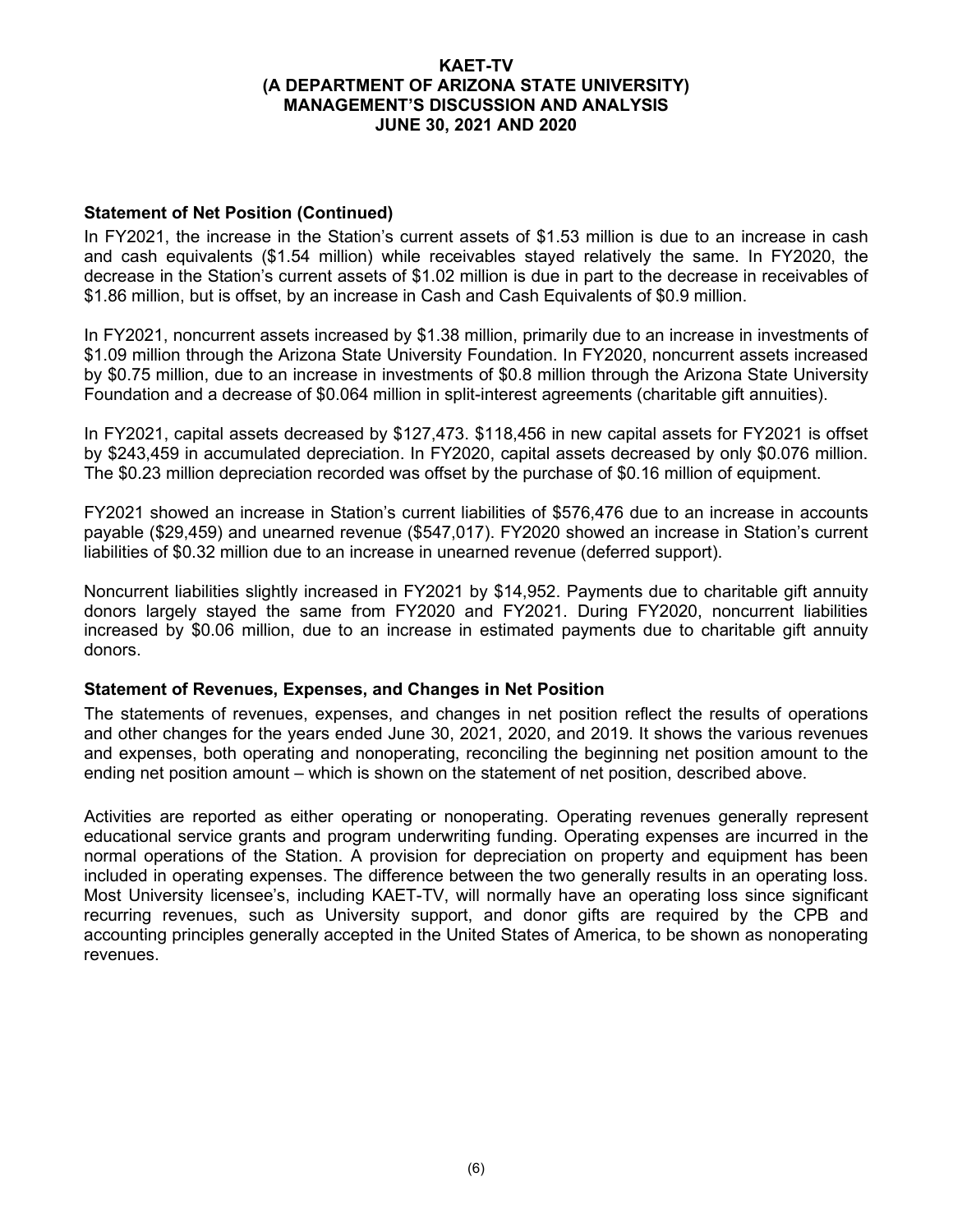### **Statement of Net Position (Continued)**

In FY2021, the increase in the Station's current assets of \$1.53 million is due to an increase in cash and cash equivalents (\$1.54 million) while receivables stayed relatively the same. In FY2020, the decrease in the Station's current assets of \$1.02 million is due in part to the decrease in receivables of \$1.86 million, but is offset, by an increase in Cash and Cash Equivalents of \$0.9 million.

In FY2021, noncurrent assets increased by \$1.38 million, primarily due to an increase in investments of \$1.09 million through the Arizona State University Foundation. In FY2020, noncurrent assets increased by \$0.75 million, due to an increase in investments of \$0.8 million through the Arizona State University Foundation and a decrease of \$0.064 million in split-interest agreements (charitable gift annuities).

In FY2021, capital assets decreased by \$127,473. \$118,456 in new capital assets for FY2021 is offset by \$243,459 in accumulated depreciation. In FY2020, capital assets decreased by only \$0.076 million. The \$0.23 million depreciation recorded was offset by the purchase of \$0.16 million of equipment.

FY2021 showed an increase in Station's current liabilities of \$576,476 due to an increase in accounts payable (\$29,459) and unearned revenue (\$547,017). FY2020 showed an increase in Station's current liabilities of \$0.32 million due to an increase in unearned revenue (deferred support).

Noncurrent liabilities slightly increased in FY2021 by \$14,952. Payments due to charitable gift annuity donors largely stayed the same from FY2020 and FY2021. During FY2020, noncurrent liabilities increased by \$0.06 million, due to an increase in estimated payments due to charitable gift annuity donors.

#### **Statement of Revenues, Expenses, and Changes in Net Position**

The statements of revenues, expenses, and changes in net position reflect the results of operations and other changes for the years ended June 30, 2021, 2020, and 2019. It shows the various revenues and expenses, both operating and nonoperating, reconciling the beginning net position amount to the ending net position amount – which is shown on the statement of net position, described above.

Activities are reported as either operating or nonoperating. Operating revenues generally represent educational service grants and program underwriting funding. Operating expenses are incurred in the normal operations of the Station. A provision for depreciation on property and equipment has been included in operating expenses. The difference between the two generally results in an operating loss. Most University licensee's, including KAET-TV, will normally have an operating loss since significant recurring revenues, such as University support, and donor gifts are required by the CPB and accounting principles generally accepted in the United States of America, to be shown as nonoperating revenues.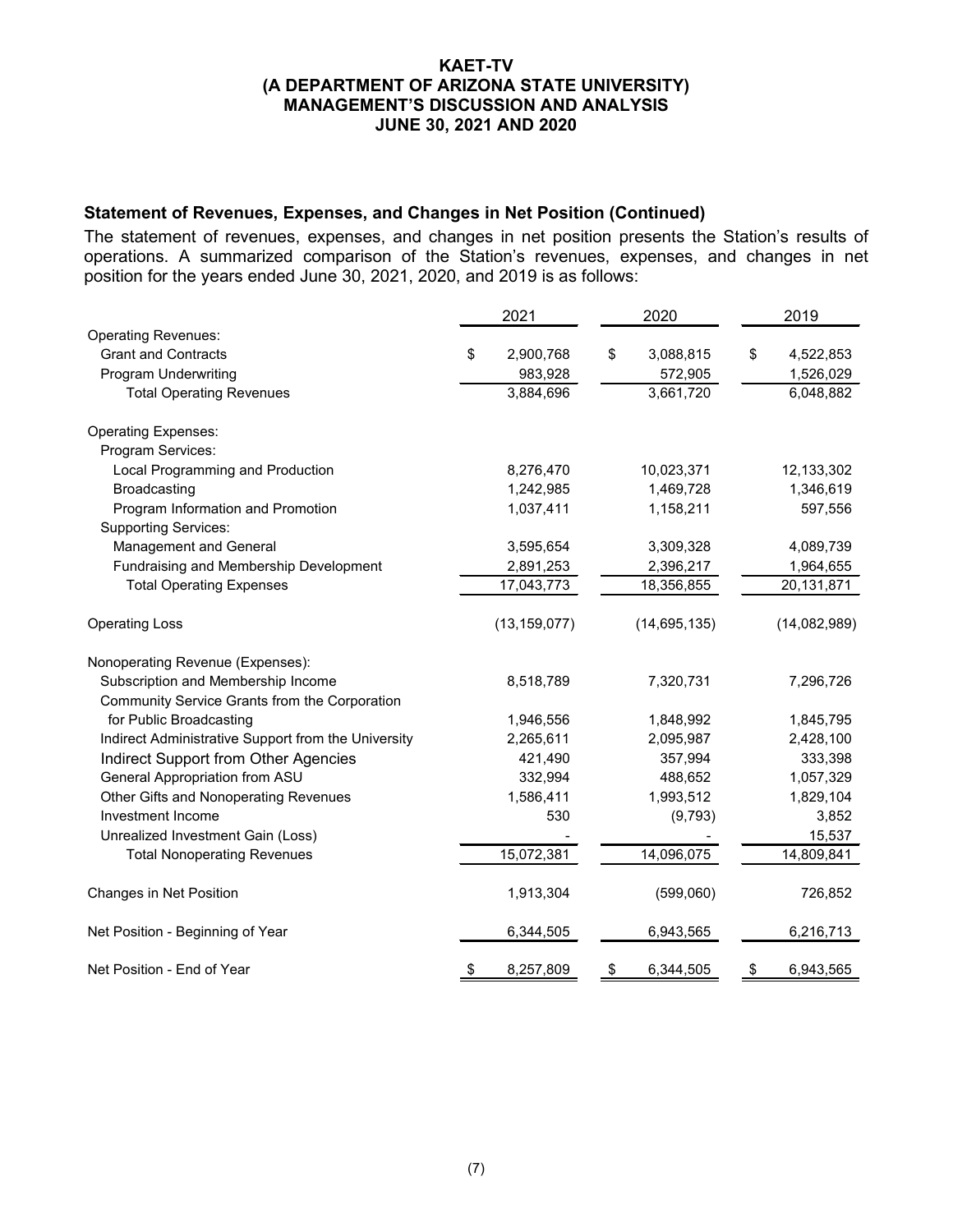## **Statement of Revenues, Expenses, and Changes in Net Position (Continued)**

The statement of revenues, expenses, and changes in net position presents the Station's results of operations. A summarized comparison of the Station's revenues, expenses, and changes in net position for the years ended June 30, 2021, 2020, and 2019 is as follows:

|                                                     | 2021            | 2020            | 2019            |
|-----------------------------------------------------|-----------------|-----------------|-----------------|
| <b>Operating Revenues:</b>                          |                 |                 |                 |
| <b>Grant and Contracts</b>                          | \$<br>2,900,768 | \$<br>3,088,815 | \$<br>4,522,853 |
| <b>Program Underwriting</b>                         | 983,928         | 572,905         | 1,526,029       |
| <b>Total Operating Revenues</b>                     | 3,884,696       | 3,661,720       | 6,048,882       |
| <b>Operating Expenses:</b>                          |                 |                 |                 |
| Program Services:                                   |                 |                 |                 |
| Local Programming and Production                    | 8,276,470       | 10,023,371      | 12,133,302      |
| Broadcasting                                        | 1,242,985       | 1,469,728       | 1,346,619       |
| Program Information and Promotion                   | 1,037,411       | 1,158,211       | 597,556         |
| <b>Supporting Services:</b>                         |                 |                 |                 |
| <b>Management and General</b>                       | 3,595,654       | 3,309,328       | 4,089,739       |
| Fundraising and Membership Development              | 2,891,253       | 2,396,217       | 1,964,655       |
| <b>Total Operating Expenses</b>                     | 17,043,773      | 18,356,855      | 20,131,871      |
| <b>Operating Loss</b>                               | (13, 159, 077)  | (14, 695, 135)  | (14,082,989)    |
| Nonoperating Revenue (Expenses):                    |                 |                 |                 |
| Subscription and Membership Income                  | 8,518,789       | 7,320,731       | 7,296,726       |
| Community Service Grants from the Corporation       |                 |                 |                 |
| for Public Broadcasting                             | 1,946,556       | 1,848,992       | 1,845,795       |
| Indirect Administrative Support from the University | 2,265,611       | 2,095,987       | 2,428,100       |
| Indirect Support from Other Agencies                | 421,490         | 357,994         | 333,398         |
| General Appropriation from ASU                      | 332,994         | 488,652         | 1,057,329       |
| Other Gifts and Nonoperating Revenues               | 1,586,411       | 1,993,512       | 1,829,104       |
| Investment Income                                   | 530             | (9,793)         | 3,852           |
| Unrealized Investment Gain (Loss)                   |                 |                 | 15,537          |
| <b>Total Nonoperating Revenues</b>                  | 15,072,381      | 14,096,075      | 14,809,841      |
| Changes in Net Position                             | 1,913,304       | (599,060)       | 726,852         |
| Net Position - Beginning of Year                    | 6,344,505       | 6,943,565       | 6,216,713       |
| Net Position - End of Year                          | \$<br>8,257,809 | \$<br>6,344,505 | \$<br>6,943,565 |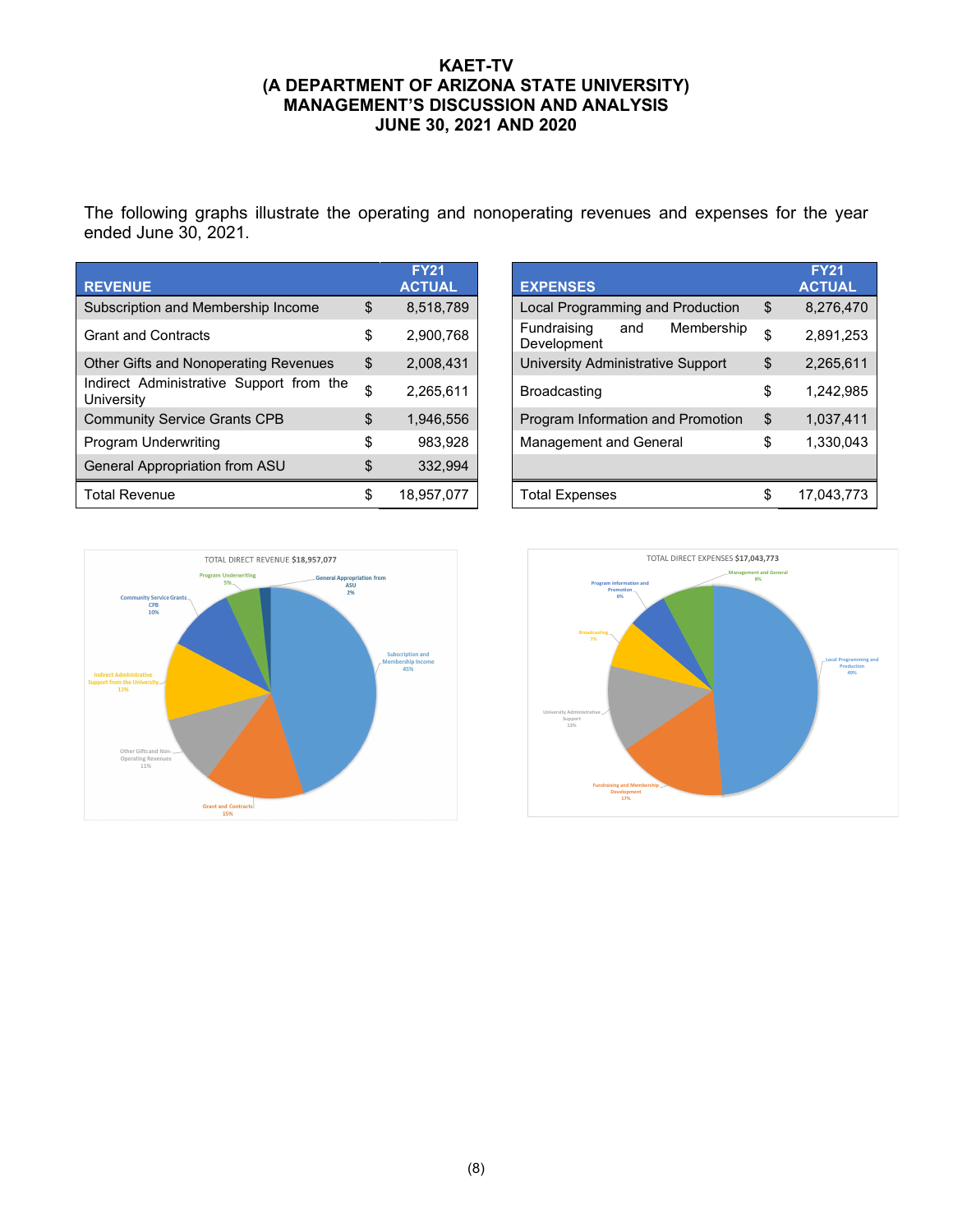The following graphs illustrate the operating and nonoperating revenues and expenses for the year ended June 30, 2021.

| <b>REVENUE</b>                                         | <b>FY21</b><br><b>ACTUAL</b> | <b>EXPENSES</b>                                 |    | <b>FY21</b><br><b>ACTUAL</b> |
|--------------------------------------------------------|------------------------------|-------------------------------------------------|----|------------------------------|
| Subscription and Membership Income                     | \$<br>8,518,789              | Local Programming and Production                | S  | 8,276,470                    |
| <b>Grant and Contracts</b>                             | \$<br>2,900,768              | Fundraising<br>Membership<br>and<br>Development | \$ | 2,891,253                    |
| Other Gifts and Nonoperating Revenues                  | \$<br>2,008,431              | University Administrative Support               | \$ | 2,265,611                    |
| Indirect Administrative Support from the<br>University | \$<br>2,265,611              | <b>Broadcasting</b>                             | \$ | 1,242,985                    |
| <b>Community Service Grants CPB</b>                    | \$<br>1,946,556              | Program Information and Promotion               | \$ | 1,037,411                    |
| <b>Program Underwriting</b>                            | \$<br>983,928                | Management and General                          | \$ | 1,330,043                    |
| General Appropriation from ASU                         | \$<br>332,994                |                                                 |    |                              |
| <b>Total Revenue</b>                                   | \$<br>18,957,077             | <b>Total Expenses</b>                           |    | 17,043,773                   |

| <b>FY21</b><br><b>ACTUAL</b> | <b>EXPENSES</b>                                 | <b>FY21</b><br><b>ACTUAL</b> |
|------------------------------|-------------------------------------------------|------------------------------|
| 8,518,789                    | Local Programming and Production                | \$<br>8,276,470              |
| 2,900,768                    | Fundraising<br>Membership<br>and<br>Development | \$<br>2,891,253              |
| 2,008,431                    | University Administrative Support               | \$<br>2,265,611              |
| 2,265,611                    | <b>Broadcasting</b>                             | \$<br>1,242,985              |
| 1,946,556                    | Program Information and Promotion               | \$<br>1,037,411              |
| 983,928                      | Management and General                          | \$<br>1,330,043              |
| 332,994                      |                                                 |                              |
| 18,957,077                   | <b>Total Expenses</b>                           | \$<br>17,043,773             |



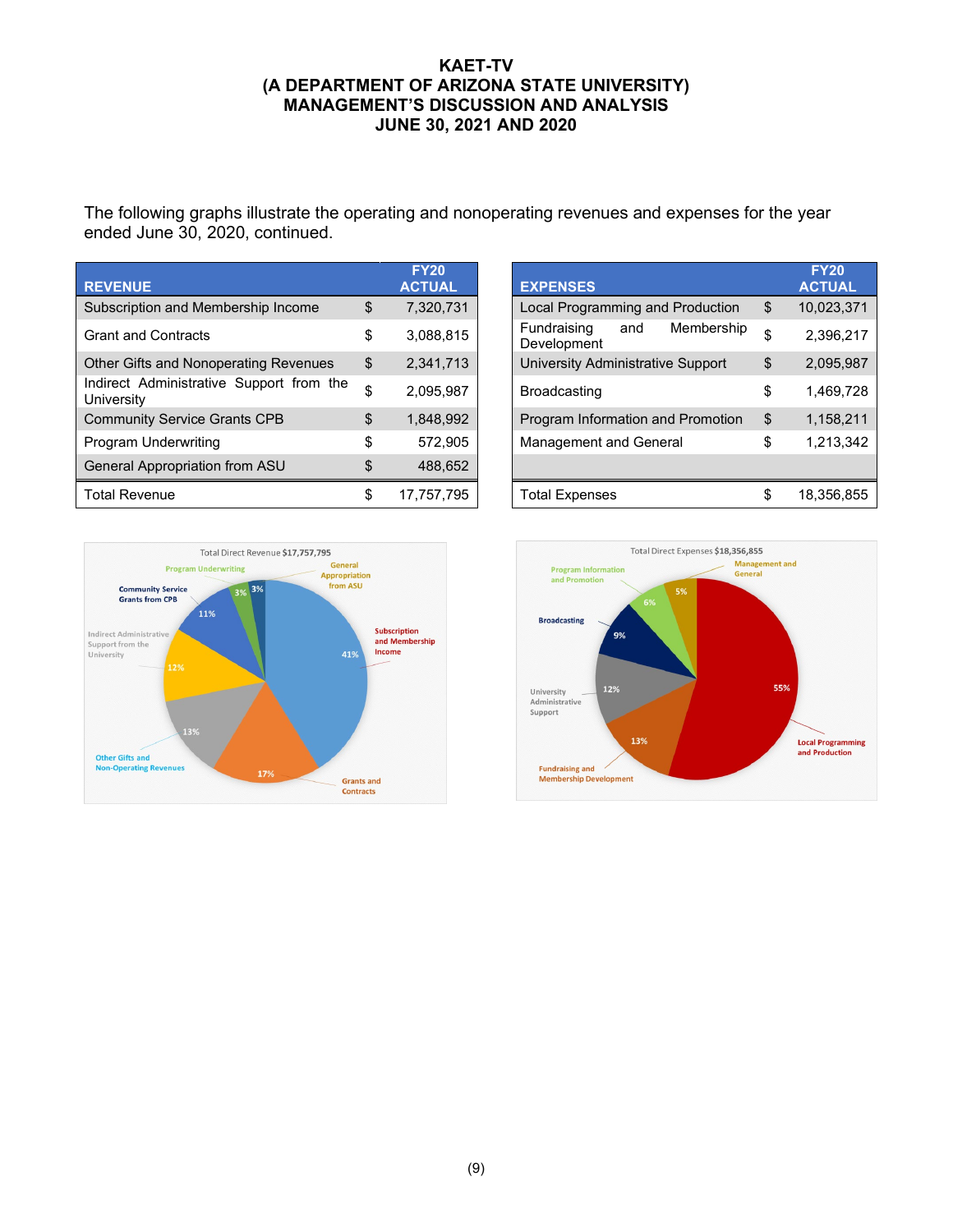The following graphs illustrate the operating and nonoperating revenues and expenses for the year ended June 30, 2020, continued.

| <b>REVENUE</b>                                         | <b>FY20</b><br><b>ACTUAL</b> | <b>EXPENSES</b>                                 | <b>FY20</b><br><b>ACTUAL</b> |
|--------------------------------------------------------|------------------------------|-------------------------------------------------|------------------------------|
| Subscription and Membership Income                     | \$<br>7,320,731              | Local Programming and Production                | \$<br>10,023,371             |
| <b>Grant and Contracts</b>                             | \$<br>3,088,815              | Fundraising<br>Membership<br>and<br>Development | \$<br>2,396,217              |
| Other Gifts and Nonoperating Revenues                  | \$<br>2,341,713              | University Administrative Support               | \$<br>2,095,987              |
| Indirect Administrative Support from the<br>University | \$<br>2,095,987              | <b>Broadcasting</b>                             | \$<br>1,469,728              |
| <b>Community Service Grants CPB</b>                    | \$<br>1,848,992              | Program Information and Promotion               | \$<br>1,158,211              |
| Program Underwriting                                   | \$<br>572.905                | Management and General                          | \$<br>1,213,342              |
| General Appropriation from ASU                         | \$<br>488,652                |                                                 |                              |
| <b>Total Revenue</b>                                   | \$<br>17,757,795             | <b>Total Expenses</b>                           | \$<br>18.356.855             |

| <b>FY20</b><br><b>ACTUAL</b> | <b>EXPENSES</b>                                 | <b>FY20</b><br><b>ACTUAL</b> |
|------------------------------|-------------------------------------------------|------------------------------|
| 7,320,731                    | Local Programming and Production                | \$<br>10,023,371             |
| 3,088,815                    | Fundraising<br>Membership<br>and<br>Development | \$<br>2,396,217              |
| 2,341,713                    | University Administrative Support               | \$<br>2,095,987              |
| 2,095,987                    | <b>Broadcasting</b>                             | \$<br>1,469,728              |
| 1.848.992                    | Program Information and Promotion               | \$<br>1,158,211              |
| 572,905                      | <b>Management and General</b>                   | \$<br>1,213,342              |
| 488,652                      |                                                 |                              |
| 17,757,795                   | <b>Total Expenses</b>                           | \$<br>18,356,855             |



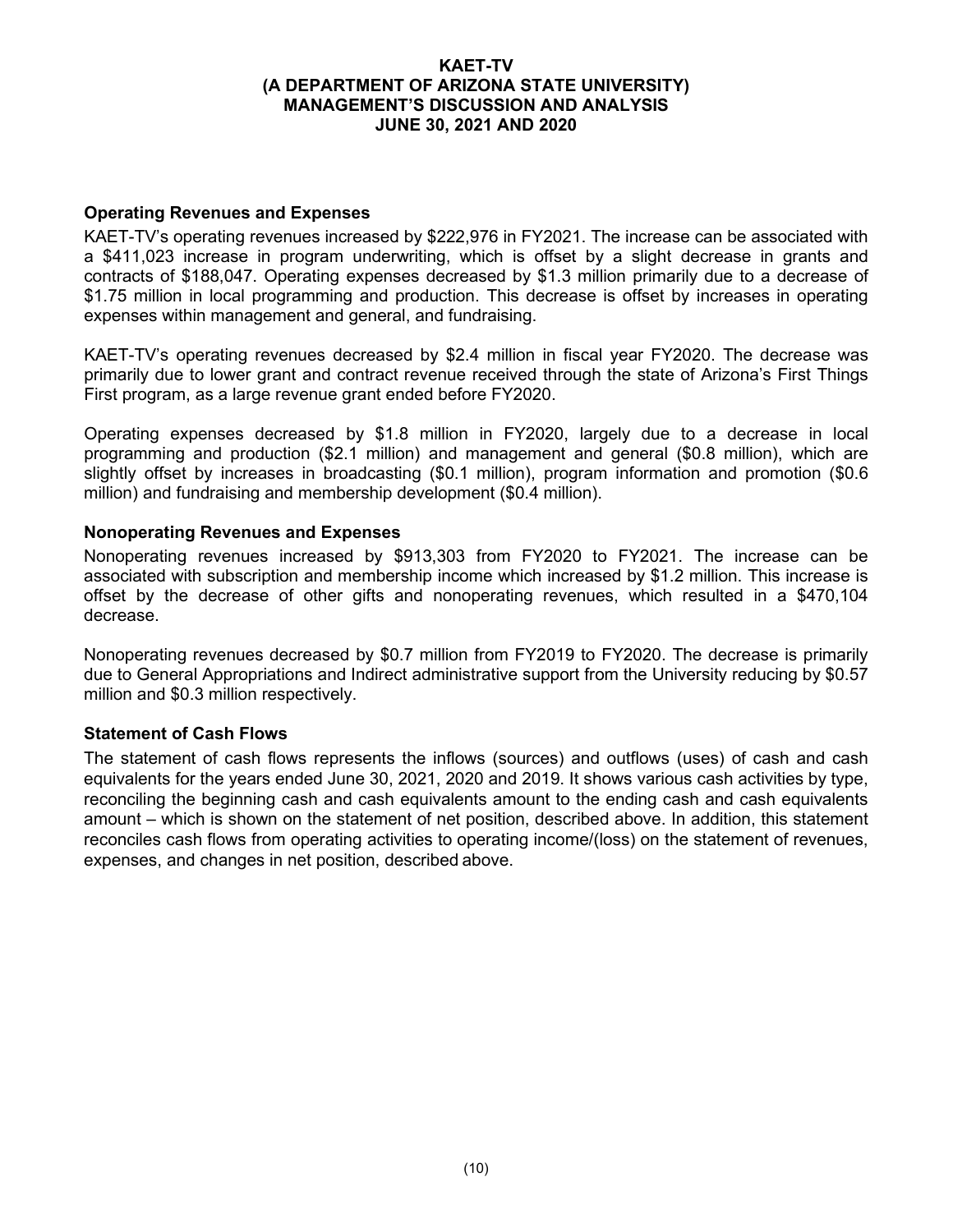### **Operating Revenues and Expenses**

KAET-TV's operating revenues increased by \$222,976 in FY2021. The increase can be associated with a \$411,023 increase in program underwriting, which is offset by a slight decrease in grants and contracts of \$188,047. Operating expenses decreased by \$1.3 million primarily due to a decrease of \$1.75 million in local programming and production. This decrease is offset by increases in operating expenses within management and general, and fundraising.

KAET-TV's operating revenues decreased by \$2.4 million in fiscal year FY2020. The decrease was primarily due to lower grant and contract revenue received through the state of Arizona's First Things First program, as a large revenue grant ended before FY2020.

Operating expenses decreased by \$1.8 million in FY2020, largely due to a decrease in local programming and production (\$2.1 million) and management and general (\$0.8 million), which are slightly offset by increases in broadcasting (\$0.1 million), program information and promotion (\$0.6 million) and fundraising and membership development (\$0.4 million).

### **Nonoperating Revenues and Expenses**

Nonoperating revenues increased by \$913,303 from FY2020 to FY2021. The increase can be associated with subscription and membership income which increased by \$1.2 million. This increase is offset by the decrease of other gifts and nonoperating revenues, which resulted in a \$470,104 decrease.

Nonoperating revenues decreased by \$0.7 million from FY2019 to FY2020. The decrease is primarily due to General Appropriations and Indirect administrative support from the University reducing by \$0.57 million and \$0.3 million respectively.

# **Statement of Cash Flows**

The statement of cash flows represents the inflows (sources) and outflows (uses) of cash and cash equivalents for the years ended June 30, 2021, 2020 and 2019. It shows various cash activities by type, reconciling the beginning cash and cash equivalents amount to the ending cash and cash equivalents amount – which is shown on the statement of net position, described above. In addition, this statement reconciles cash flows from operating activities to operating income/(loss) on the statement of revenues, expenses, and changes in net position, described above.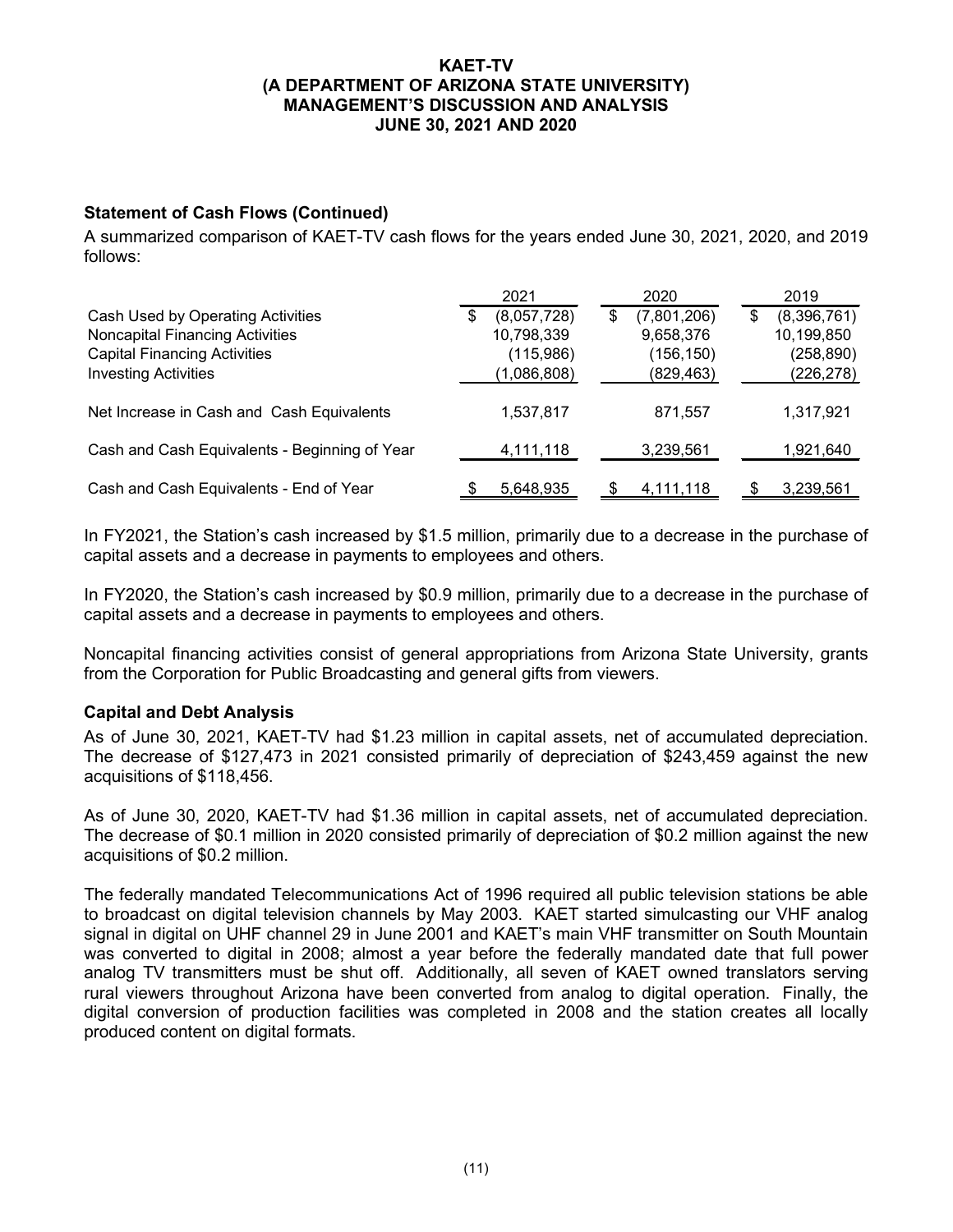# **Statement of Cash Flows (Continued)**

A summarized comparison of KAET-TV cash flows for the years ended June 30, 2021, 2020, and 2019 follows:

|                                               | 2021             | 2020              | 2019              |
|-----------------------------------------------|------------------|-------------------|-------------------|
| Cash Used by Operating Activities             | (8,057,728)<br>S | (7,801,206)<br>\$ | (8,396,761)<br>\$ |
| <b>Noncapital Financing Activities</b>        | 10,798,339       | 9,658,376         | 10,199,850        |
| <b>Capital Financing Activities</b>           | (115,986)        | (156,150)         | (258, 890)        |
| <b>Investing Activities</b>                   | (1,086,808)      | (829, 463)        | (226, 278)        |
| Net Increase in Cash and Cash Equivalents     | 1,537,817        | 871,557           | 1,317,921         |
| Cash and Cash Equivalents - Beginning of Year | 4,111,118        | 3,239,561         | 1,921,640         |
| Cash and Cash Equivalents - End of Year       | 5,648,935        | 4,111,118         | 3,239,561         |

In FY2021, the Station's cash increased by \$1.5 million, primarily due to a decrease in the purchase of capital assets and a decrease in payments to employees and others.

In FY2020, the Station's cash increased by \$0.9 million, primarily due to a decrease in the purchase of capital assets and a decrease in payments to employees and others.

Noncapital financing activities consist of general appropriations from Arizona State University, grants from the Corporation for Public Broadcasting and general gifts from viewers.

#### **Capital and Debt Analysis**

As of June 30, 2021, KAET-TV had \$1.23 million in capital assets, net of accumulated depreciation. The decrease of \$127,473 in 2021 consisted primarily of depreciation of \$243,459 against the new acquisitions of \$118,456.

As of June 30, 2020, KAET-TV had \$1.36 million in capital assets, net of accumulated depreciation. The decrease of \$0.1 million in 2020 consisted primarily of depreciation of \$0.2 million against the new acquisitions of \$0.2 million.

The federally mandated Telecommunications Act of 1996 required all public television stations be able to broadcast on digital television channels by May 2003. KAET started simulcasting our VHF analog signal in digital on UHF channel 29 in June 2001 and KAET's main VHF transmitter on South Mountain was converted to digital in 2008; almost a year before the federally mandated date that full power analog TV transmitters must be shut off. Additionally, all seven of KAET owned translators serving rural viewers throughout Arizona have been converted from analog to digital operation. Finally, the digital conversion of production facilities was completed in 2008 and the station creates all locally produced content on digital formats.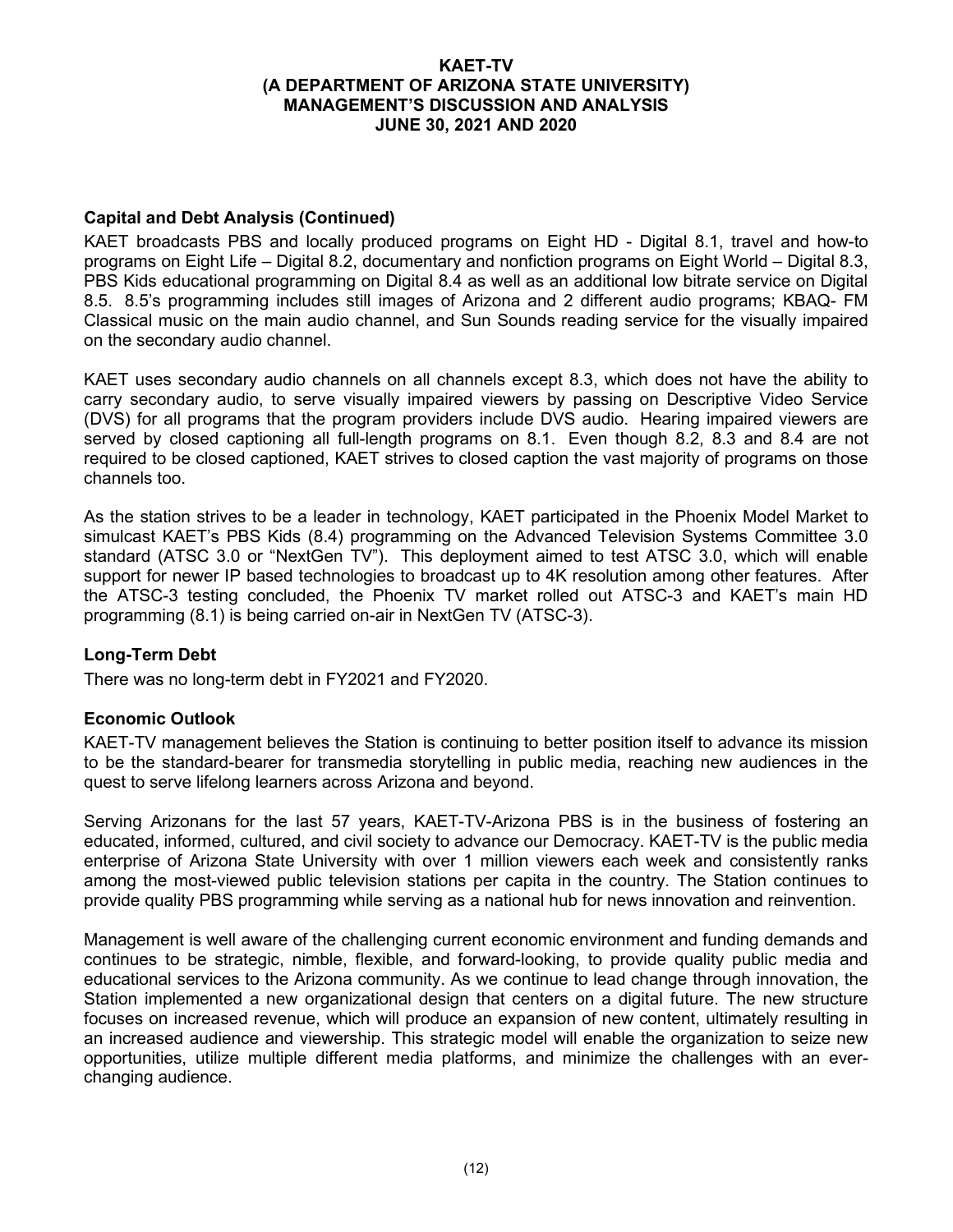## **Capital and Debt Analysis (Continued)**

KAET broadcasts PBS and locally produced programs on Eight HD - Digital 8.1, travel and how-to programs on Eight Life – Digital 8.2, documentary and nonfiction programs on Eight World – Digital 8.3, PBS Kids educational programming on Digital 8.4 as well as an additional low bitrate service on Digital 8.5. 8.5's programming includes still images of Arizona and 2 different audio programs; KBAQ- FM Classical music on the main audio channel, and Sun Sounds reading service for the visually impaired on the secondary audio channel.

KAET uses secondary audio channels on all channels except 8.3, which does not have the ability to carry secondary audio, to serve visually impaired viewers by passing on Descriptive Video Service (DVS) for all programs that the program providers include DVS audio. Hearing impaired viewers are served by closed captioning all full-length programs on 8.1. Even though 8.2, 8.3 and 8.4 are not required to be closed captioned, KAET strives to closed caption the vast majority of programs on those channels too.

As the station strives to be a leader in technology, KAET participated in the Phoenix Model Market to simulcast KAET's PBS Kids (8.4) programming on the Advanced Television Systems Committee 3.0 standard (ATSC 3.0 or "NextGen TV"). This deployment aimed to test ATSC 3.0, which will enable support for newer IP based technologies to broadcast up to 4K resolution among other features. After the ATSC-3 testing concluded, the Phoenix TV market rolled out ATSC-3 and KAET's main HD programming (8.1) is being carried on-air in NextGen TV (ATSC-3).

# **Long-Term Debt**

There was no long-term debt in FY2021 and FY2020.

#### **Economic Outlook**

KAET-TV management believes the Station is continuing to better position itself to advance its mission to be the standard-bearer for transmedia storytelling in public media, reaching new audiences in the quest to serve lifelong learners across Arizona and beyond.

Serving Arizonans for the last 57 years, KAET-TV-Arizona PBS is in the business of fostering an educated, informed, cultured, and civil society to advance our Democracy. KAET-TV is the public media enterprise of Arizona State University with over 1 million viewers each week and consistently ranks among the most-viewed public television stations per capita in the country. The Station continues to provide quality PBS programming while serving as a national hub for news innovation and reinvention.

Management is well aware of the challenging current economic environment and funding demands and continues to be strategic, nimble, flexible, and forward-looking, to provide quality public media and educational services to the Arizona community. As we continue to lead change through innovation, the Station implemented a new organizational design that centers on a digital future. The new structure focuses on increased revenue, which will produce an expansion of new content, ultimately resulting in an increased audience and viewership. This strategic model will enable the organization to seize new opportunities, utilize multiple different media platforms, and minimize the challenges with an everchanging audience.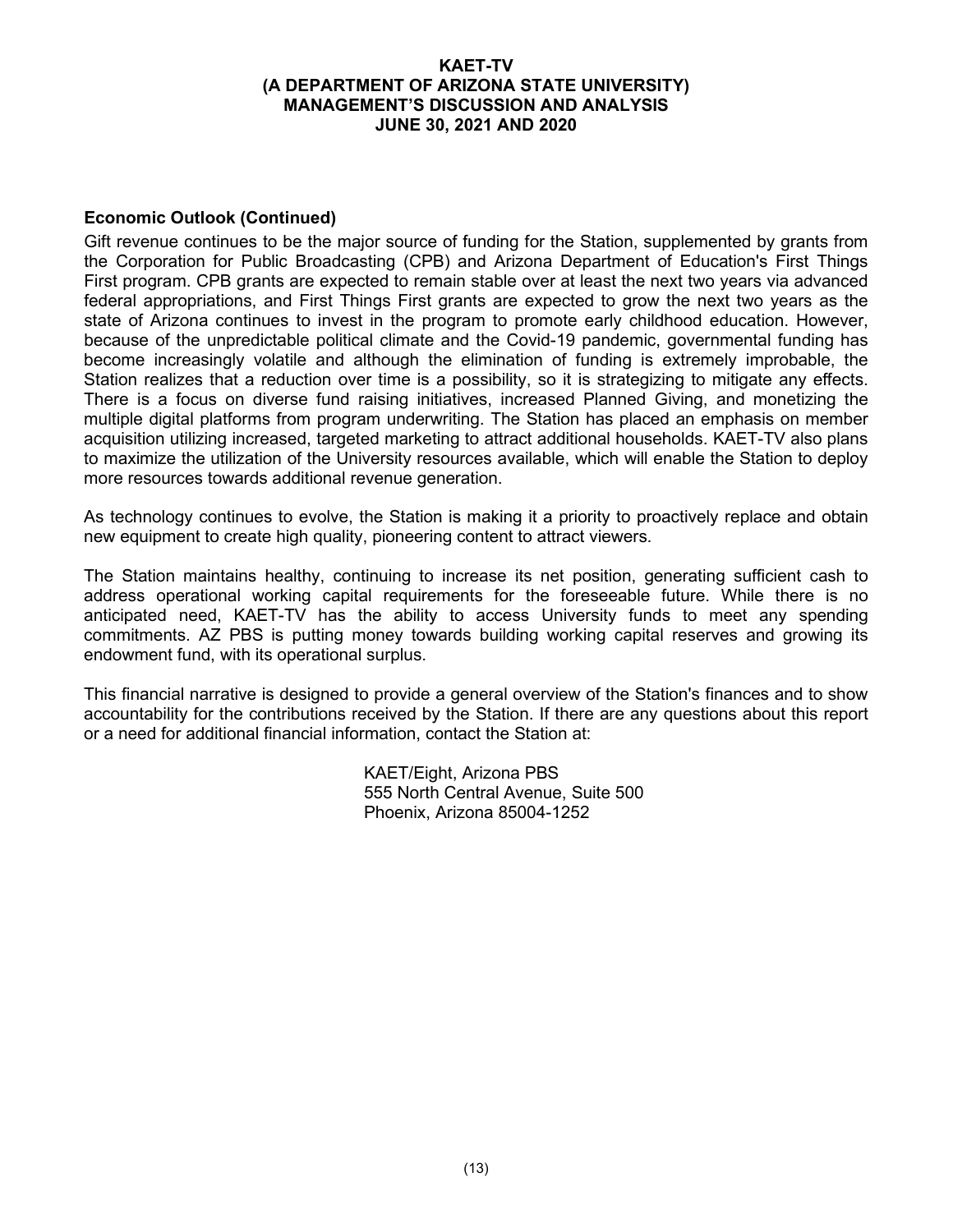### **Economic Outlook (Continued)**

Gift revenue continues to be the major source of funding for the Station, supplemented by grants from the Corporation for Public Broadcasting (CPB) and Arizona Department of Education's First Things First program. CPB grants are expected to remain stable over at least the next two years via advanced federal appropriations, and First Things First grants are expected to grow the next two years as the state of Arizona continues to invest in the program to promote early childhood education. However, because of the unpredictable political climate and the Covid-19 pandemic, governmental funding has become increasingly volatile and although the elimination of funding is extremely improbable, the Station realizes that a reduction over time is a possibility, so it is strategizing to mitigate any effects. There is a focus on diverse fund raising initiatives, increased Planned Giving, and monetizing the multiple digital platforms from program underwriting. The Station has placed an emphasis on member acquisition utilizing increased, targeted marketing to attract additional households. KAET-TV also plans to maximize the utilization of the University resources available, which will enable the Station to deploy more resources towards additional revenue generation.

As technology continues to evolve, the Station is making it a priority to proactively replace and obtain new equipment to create high quality, pioneering content to attract viewers.

The Station maintains healthy, continuing to increase its net position, generating sufficient cash to address operational working capital requirements for the foreseeable future. While there is no anticipated need, KAET-TV has the ability to access University funds to meet any spending commitments. AZ PBS is putting money towards building working capital reserves and growing its endowment fund, with its operational surplus.

This financial narrative is designed to provide a general overview of the Station's finances and to show accountability for the contributions received by the Station. If there are any questions about this report or a need for additional financial information, contact the Station at:

> KAET/Eight, Arizona PBS 555 North Central Avenue, Suite 500 Phoenix, Arizona 85004-1252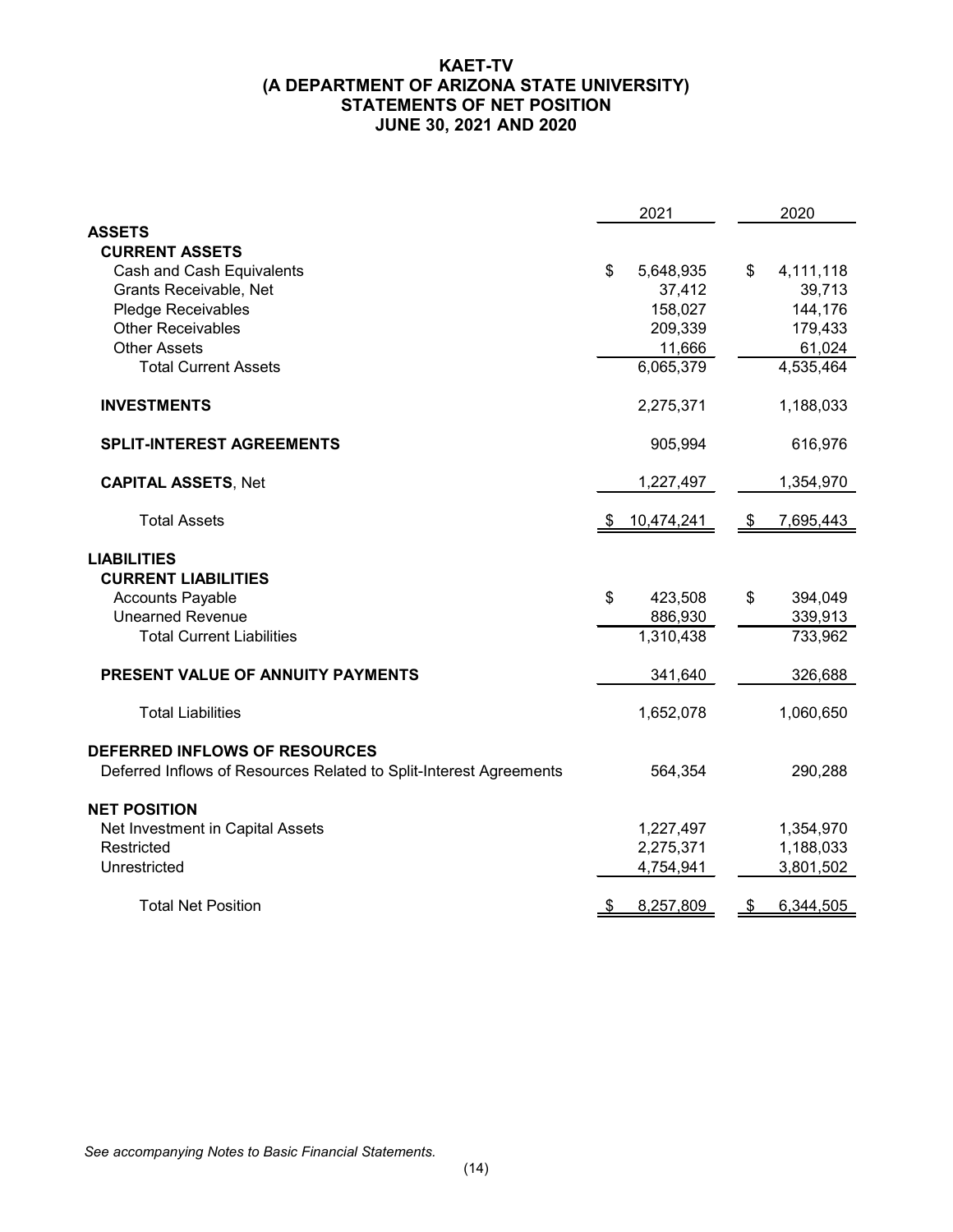### **KAET-TV (A DEPARTMENT OF ARIZONA STATE UNIVERSITY) STATEMENTS OF NET POSITION JUNE 30, 2021 AND 2020**

|                                                                    |           | 2021       |               | 2020      |
|--------------------------------------------------------------------|-----------|------------|---------------|-----------|
| <b>ASSETS</b>                                                      |           |            |               |           |
| <b>CURRENT ASSETS</b>                                              |           |            |               |           |
| Cash and Cash Equivalents                                          | \$        | 5,648,935  | \$            | 4,111,118 |
| Grants Receivable, Net                                             |           | 37,412     |               | 39,713    |
| Pledge Receivables                                                 |           | 158,027    |               | 144,176   |
| <b>Other Receivables</b>                                           |           | 209,339    |               | 179,433   |
| <b>Other Assets</b>                                                |           | 11,666     |               | 61,024    |
| <b>Total Current Assets</b>                                        |           | 6,065,379  |               | 4,535,464 |
| <b>INVESTMENTS</b>                                                 |           | 2,275,371  |               | 1,188,033 |
| <b>SPLIT-INTEREST AGREEMENTS</b>                                   |           | 905,994    |               | 616,976   |
| <b>CAPITAL ASSETS, Net</b>                                         |           | 1,227,497  |               | 1,354,970 |
| <b>Total Assets</b>                                                | S.        | 10,474,241 | $\mathcal{S}$ | 7,695,443 |
| <b>LIABILITIES</b>                                                 |           |            |               |           |
| <b>CURRENT LIABILITIES</b>                                         |           |            |               |           |
| <b>Accounts Payable</b>                                            | \$        | 423,508    | \$            | 394,049   |
| <b>Unearned Revenue</b>                                            |           | 886,930    |               | 339,913   |
| <b>Total Current Liabilities</b>                                   |           | 1,310,438  |               | 733,962   |
| PRESENT VALUE OF ANNUITY PAYMENTS                                  |           | 341,640    |               | 326,688   |
| <b>Total Liabilities</b>                                           |           | 1,652,078  |               | 1,060,650 |
| <b>DEFERRED INFLOWS OF RESOURCES</b>                               |           |            |               |           |
| Deferred Inflows of Resources Related to Split-Interest Agreements |           | 564,354    |               | 290,288   |
| <b>NET POSITION</b>                                                |           |            |               |           |
| Net Investment in Capital Assets                                   |           | 1,227,497  |               | 1,354,970 |
| Restricted                                                         |           | 2,275,371  |               | 1,188,033 |
| Unrestricted                                                       |           | 4,754,941  |               | 3,801,502 |
| <b>Total Net Position</b>                                          | <u>\$</u> | 8,257,809  | \$            | 6,344,505 |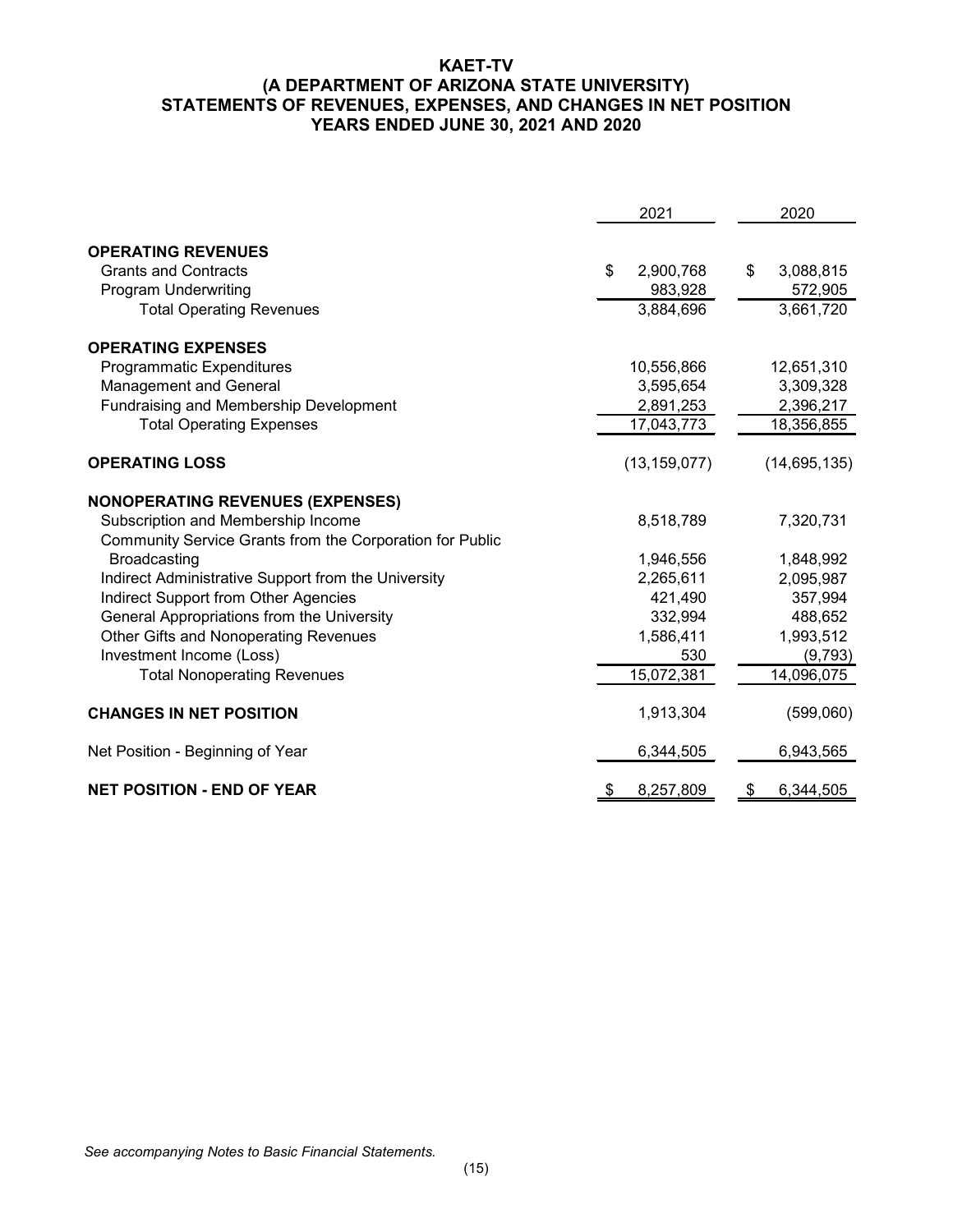## **KAET-TV (A DEPARTMENT OF ARIZONA STATE UNIVERSITY) STATEMENTS OF REVENUES, EXPENSES, AND CHANGES IN NET POSITION YEARS ENDED JUNE 30, 2021 AND 2020**

|                                                          | 2021            | 2020            |
|----------------------------------------------------------|-----------------|-----------------|
| <b>OPERATING REVENUES</b>                                |                 |                 |
| <b>Grants and Contracts</b>                              | \$<br>2,900,768 | \$<br>3,088,815 |
| <b>Program Underwriting</b>                              | 983,928         | 572,905         |
| <b>Total Operating Revenues</b>                          | 3,884,696       | 3,661,720       |
| <b>OPERATING EXPENSES</b>                                |                 |                 |
| Programmatic Expenditures                                | 10,556,866      | 12,651,310      |
| <b>Management and General</b>                            | 3,595,654       | 3,309,328       |
| Fundraising and Membership Development                   | 2,891,253       | 2,396,217       |
| <b>Total Operating Expenses</b>                          | 17,043,773      | 18,356,855      |
| <b>OPERATING LOSS</b>                                    | (13, 159, 077)  | (14, 695, 135)  |
| <b>NONOPERATING REVENUES (EXPENSES)</b>                  |                 |                 |
| Subscription and Membership Income                       | 8,518,789       | 7,320,731       |
| Community Service Grants from the Corporation for Public |                 |                 |
| <b>Broadcasting</b>                                      | 1,946,556       | 1,848,992       |
| Indirect Administrative Support from the University      | 2,265,611       | 2,095,987       |
| Indirect Support from Other Agencies                     | 421,490         | 357,994         |
| General Appropriations from the University               | 332,994         | 488,652         |
| <b>Other Gifts and Nonoperating Revenues</b>             | 1,586,411       | 1,993,512       |
| Investment Income (Loss)                                 | 530             | (9,793)         |
| <b>Total Nonoperating Revenues</b>                       | 15,072,381      | 14,096,075      |
| <b>CHANGES IN NET POSITION</b>                           | 1,913,304       | (599,060)       |
| Net Position - Beginning of Year                         | 6,344,505       | 6,943,565       |
| <b>NET POSITION - END OF YEAR</b>                        | 8,257,809<br>\$ | 6,344,505<br>\$ |

*See accompanying Notes to Basic Financial Statements.*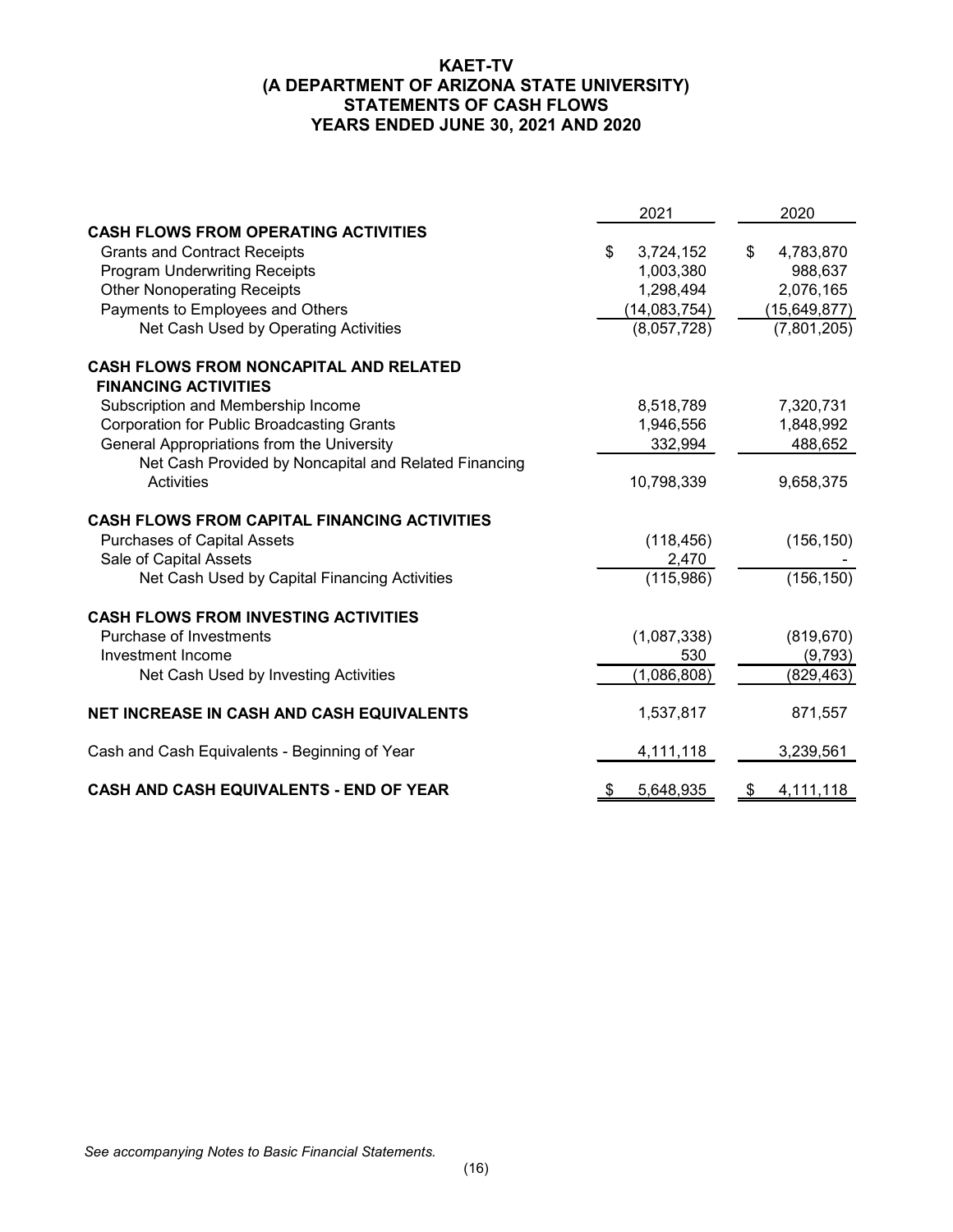### **KAET-TV (A DEPARTMENT OF ARIZONA STATE UNIVERSITY) STATEMENTS OF CASH FLOWS YEARS ENDED JUNE 30, 2021 AND 2020**

|                                                       | 2021            | 2020            |
|-------------------------------------------------------|-----------------|-----------------|
| <b>CASH FLOWS FROM OPERATING ACTIVITIES</b>           |                 |                 |
| <b>Grants and Contract Receipts</b>                   | \$<br>3,724,152 | \$<br>4,783,870 |
| <b>Program Underwriting Receipts</b>                  | 1,003,380       | 988,637         |
| <b>Other Nonoperating Receipts</b>                    | 1,298,494       | 2,076,165       |
| Payments to Employees and Others                      | (14,083,754)    | (15, 649, 877)  |
| Net Cash Used by Operating Activities                 | (8,057,728)     | (7,801,205)     |
| <b>CASH FLOWS FROM NONCAPITAL AND RELATED</b>         |                 |                 |
| <b>FINANCING ACTIVITIES</b>                           |                 |                 |
| Subscription and Membership Income                    | 8,518,789       | 7,320,731       |
| <b>Corporation for Public Broadcasting Grants</b>     | 1,946,556       | 1,848,992       |
| General Appropriations from the University            | 332,994         | 488,652         |
| Net Cash Provided by Noncapital and Related Financing |                 |                 |
| Activities                                            | 10,798,339      | 9,658,375       |
| <b>CASH FLOWS FROM CAPITAL FINANCING ACTIVITIES</b>   |                 |                 |
| <b>Purchases of Capital Assets</b>                    | (118, 456)      | (156, 150)      |
| Sale of Capital Assets                                | 2,470           |                 |
| Net Cash Used by Capital Financing Activities         | (115, 986)      | (156, 150)      |
| <b>CASH FLOWS FROM INVESTING ACTIVITIES</b>           |                 |                 |
| Purchase of Investments                               | (1,087,338)     | (819, 670)      |
| Investment Income                                     | 530             | (9,793)         |
| Net Cash Used by Investing Activities                 | (1,086,808)     | (829, 463)      |
| <b>NET INCREASE IN CASH AND CASH EQUIVALENTS</b>      | 1,537,817       | 871,557         |
| Cash and Cash Equivalents - Beginning of Year         | 4,111,118       | 3,239,561       |
| <b>CASH AND CASH EQUIVALENTS - END OF YEAR</b>        | 5,648,935<br>\$ | \$<br>4,111,118 |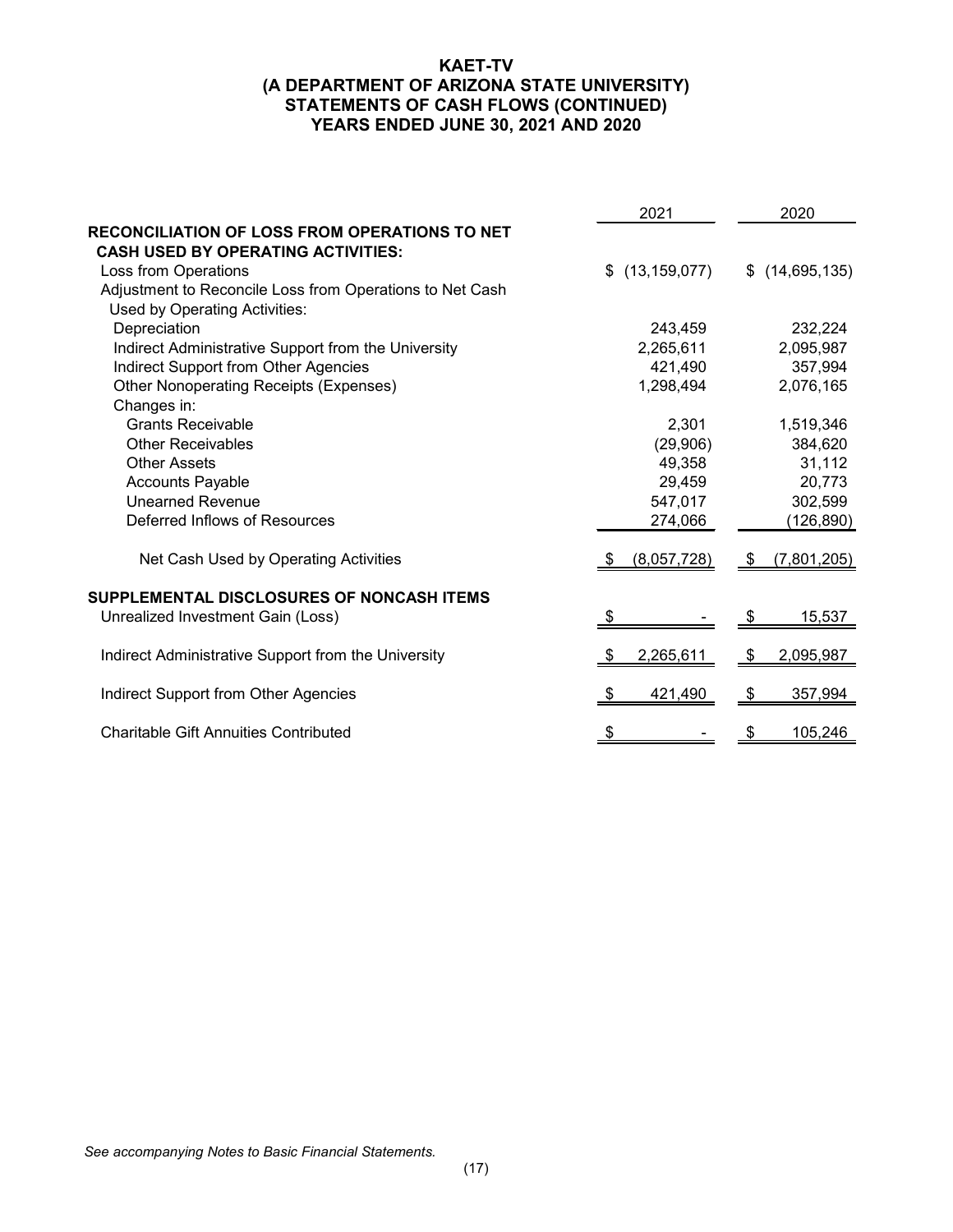### **KAET-TV (A DEPARTMENT OF ARIZONA STATE UNIVERSITY) STATEMENTS OF CASH FLOWS (CONTINUED) YEARS ENDED JUNE 30, 2021 AND 2020**

|                                                          | 2021              | 2020               |
|----------------------------------------------------------|-------------------|--------------------|
| <b>RECONCILIATION OF LOSS FROM OPERATIONS TO NET</b>     |                   |                    |
| <b>CASH USED BY OPERATING ACTIVITIES:</b>                |                   |                    |
| Loss from Operations                                     | \$(13, 159, 077)  | \$(14,695,135)     |
| Adjustment to Reconcile Loss from Operations to Net Cash |                   |                    |
| Used by Operating Activities:                            |                   |                    |
| Depreciation                                             | 243,459           | 232,224            |
| Indirect Administrative Support from the University      | 2,265,611         | 2,095,987          |
| Indirect Support from Other Agencies                     | 421,490           | 357,994            |
| <b>Other Nonoperating Receipts (Expenses)</b>            | 1,298,494         | 2,076,165          |
| Changes in:                                              |                   |                    |
| <b>Grants Receivable</b>                                 | 2,301             | 1,519,346          |
| <b>Other Receivables</b>                                 | (29,906)          | 384,620            |
| <b>Other Assets</b>                                      | 49,358            | 31,112             |
| <b>Accounts Payable</b>                                  | 29,459            | 20,773             |
| <b>Unearned Revenue</b>                                  | 547,017           | 302,599            |
| Deferred Inflows of Resources                            | 274,066           | (126, 890)         |
| Net Cash Used by Operating Activities                    | (8,057,728)       | (7,801,205)<br>\$. |
| SUPPLEMENTAL DISCLOSURES OF NONCASH ITEMS                |                   |                    |
| Unrealized Investment Gain (Loss)                        |                   | 15,537             |
|                                                          |                   |                    |
| Indirect Administrative Support from the University      | 2,265,611<br>- \$ | 2,095,987<br>\$    |
| Indirect Support from Other Agencies                     | 421,490           | 357,994<br>-5      |
| <b>Charitable Gift Annuities Contributed</b>             |                   | 105,246            |
|                                                          |                   |                    |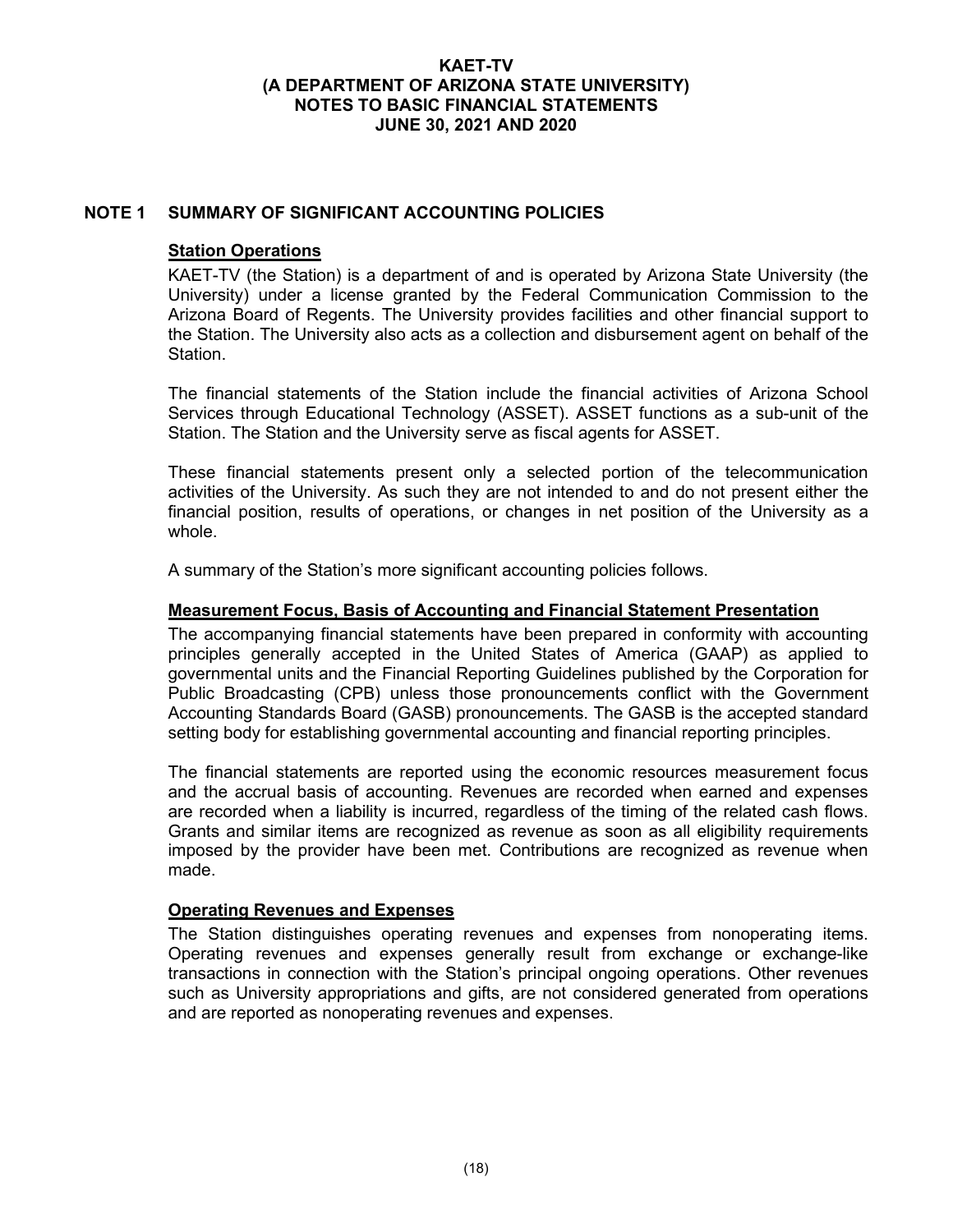# **NOTE 1 SUMMARY OF SIGNIFICANT ACCOUNTING POLICIES**

## **Station Operations**

KAET-TV (the Station) is a department of and is operated by Arizona State University (the University) under a license granted by the Federal Communication Commission to the Arizona Board of Regents. The University provides facilities and other financial support to the Station. The University also acts as a collection and disbursement agent on behalf of the Station.

The financial statements of the Station include the financial activities of Arizona School Services through Educational Technology (ASSET). ASSET functions as a sub-unit of the Station. The Station and the University serve as fiscal agents for ASSET.

These financial statements present only a selected portion of the telecommunication activities of the University. As such they are not intended to and do not present either the financial position, results of operations, or changes in net position of the University as a whole.

A summary of the Station's more significant accounting policies follows.

### **Measurement Focus, Basis of Accounting and Financial Statement Presentation**

The accompanying financial statements have been prepared in conformity with accounting principles generally accepted in the United States of America (GAAP) as applied to governmental units and the Financial Reporting Guidelines published by the Corporation for Public Broadcasting (CPB) unless those pronouncements conflict with the Government Accounting Standards Board (GASB) pronouncements. The GASB is the accepted standard setting body for establishing governmental accounting and financial reporting principles.

The financial statements are reported using the economic resources measurement focus and the accrual basis of accounting. Revenues are recorded when earned and expenses are recorded when a liability is incurred, regardless of the timing of the related cash flows. Grants and similar items are recognized as revenue as soon as all eligibility requirements imposed by the provider have been met. Contributions are recognized as revenue when made.

### **Operating Revenues and Expenses**

The Station distinguishes operating revenues and expenses from nonoperating items. Operating revenues and expenses generally result from exchange or exchange-like transactions in connection with the Station's principal ongoing operations. Other revenues such as University appropriations and gifts, are not considered generated from operations and are reported as nonoperating revenues and expenses.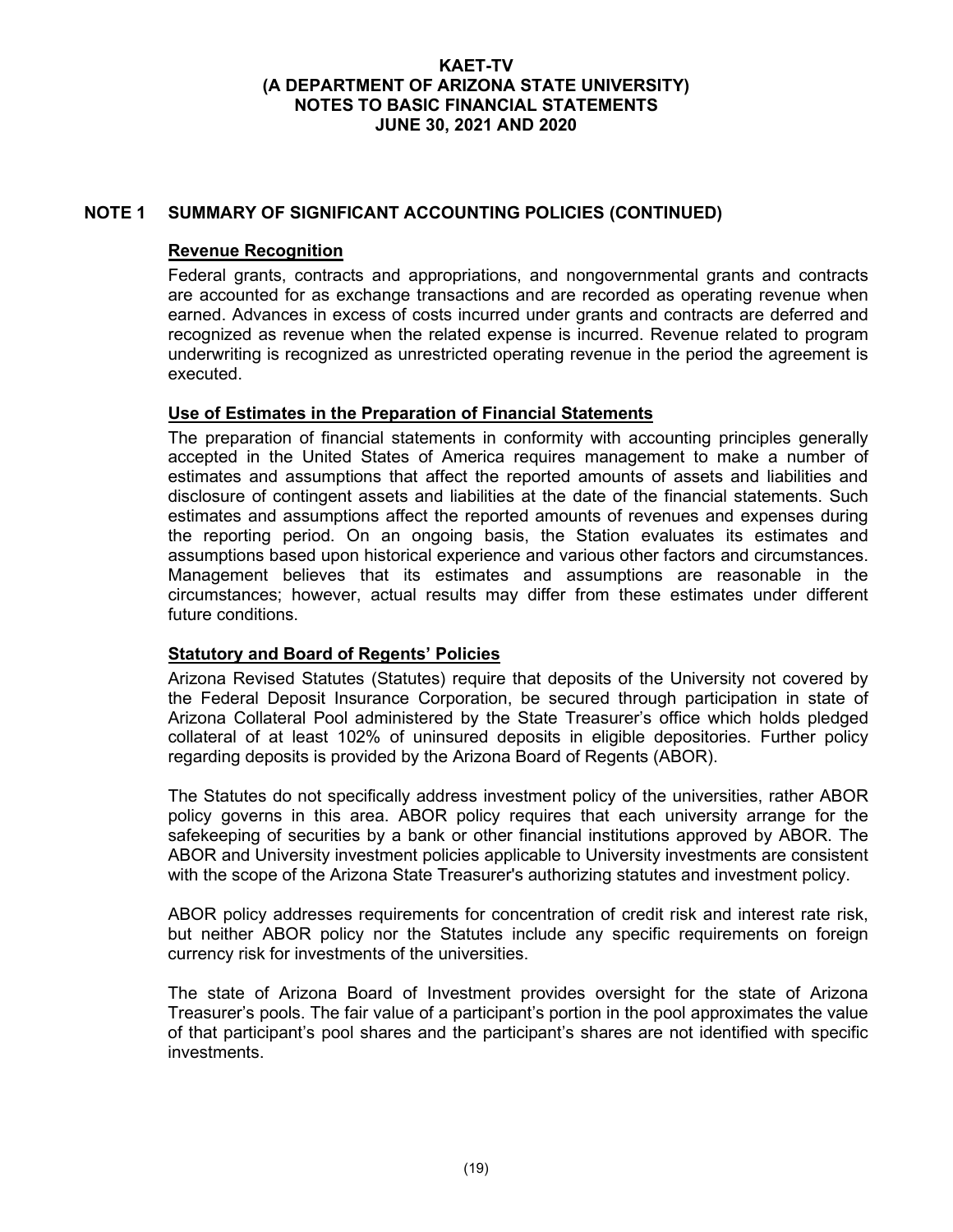# **NOTE 1 SUMMARY OF SIGNIFICANT ACCOUNTING POLICIES (CONTINUED)**

## **Revenue Recognition**

Federal grants, contracts and appropriations, and nongovernmental grants and contracts are accounted for as exchange transactions and are recorded as operating revenue when earned. Advances in excess of costs incurred under grants and contracts are deferred and recognized as revenue when the related expense is incurred. Revenue related to program underwriting is recognized as unrestricted operating revenue in the period the agreement is executed.

### **Use of Estimates in the Preparation of Financial Statements**

The preparation of financial statements in conformity with accounting principles generally accepted in the United States of America requires management to make a number of estimates and assumptions that affect the reported amounts of assets and liabilities and disclosure of contingent assets and liabilities at the date of the financial statements. Such estimates and assumptions affect the reported amounts of revenues and expenses during the reporting period. On an ongoing basis, the Station evaluates its estimates and assumptions based upon historical experience and various other factors and circumstances. Management believes that its estimates and assumptions are reasonable in the circumstances; however, actual results may differ from these estimates under different future conditions.

# **Statutory and Board of Regents' Policies**

Arizona Revised Statutes (Statutes) require that deposits of the University not covered by the Federal Deposit Insurance Corporation, be secured through participation in state of Arizona Collateral Pool administered by the State Treasurer's office which holds pledged collateral of at least 102% of uninsured deposits in eligible depositories. Further policy regarding deposits is provided by the Arizona Board of Regents (ABOR).

The Statutes do not specifically address investment policy of the universities, rather ABOR policy governs in this area. ABOR policy requires that each university arrange for the safekeeping of securities by a bank or other financial institutions approved by ABOR. The ABOR and University investment policies applicable to University investments are consistent with the scope of the Arizona State Treasurer's authorizing statutes and investment policy.

ABOR policy addresses requirements for concentration of credit risk and interest rate risk, but neither ABOR policy nor the Statutes include any specific requirements on foreign currency risk for investments of the universities.

The state of Arizona Board of Investment provides oversight for the state of Arizona Treasurer's pools. The fair value of a participant's portion in the pool approximates the value of that participant's pool shares and the participant's shares are not identified with specific investments.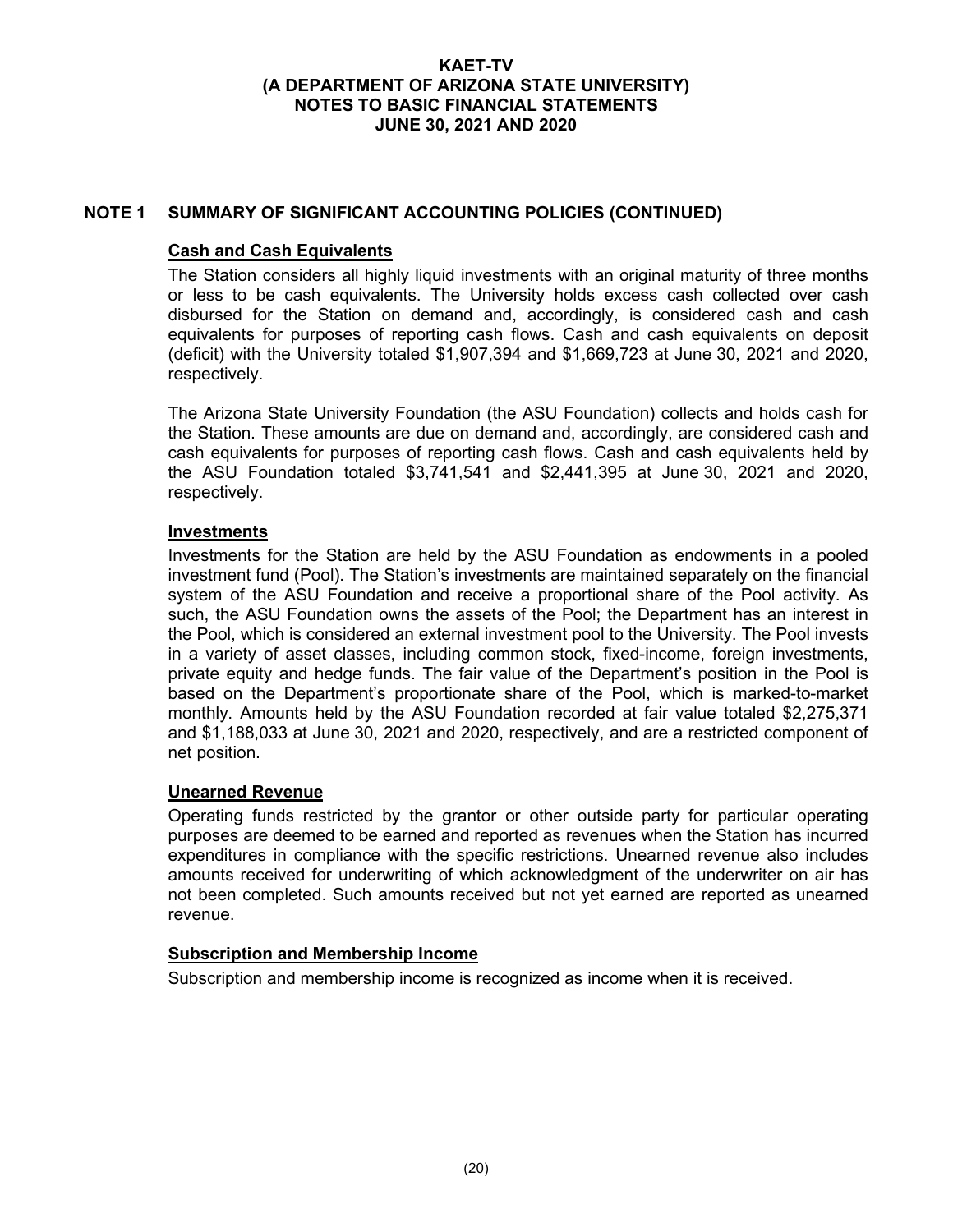# **NOTE 1 SUMMARY OF SIGNIFICANT ACCOUNTING POLICIES (CONTINUED)**

### **Cash and Cash Equivalents**

The Station considers all highly liquid investments with an original maturity of three months or less to be cash equivalents. The University holds excess cash collected over cash disbursed for the Station on demand and, accordingly, is considered cash and cash equivalents for purposes of reporting cash flows. Cash and cash equivalents on deposit (deficit) with the University totaled \$1,907,394 and \$1,669,723 at June 30, 2021 and 2020, respectively.

The Arizona State University Foundation (the ASU Foundation) collects and holds cash for the Station. These amounts are due on demand and, accordingly, are considered cash and cash equivalents for purposes of reporting cash flows. Cash and cash equivalents held by the ASU Foundation totaled \$3,741,541 and \$2,441,395 at June 30, 2021 and 2020, respectively.

### **Investments**

Investments for the Station are held by the ASU Foundation as endowments in a pooled investment fund (Pool). The Station's investments are maintained separately on the financial system of the ASU Foundation and receive a proportional share of the Pool activity. As such, the ASU Foundation owns the assets of the Pool; the Department has an interest in the Pool, which is considered an external investment pool to the University. The Pool invests in a variety of asset classes, including common stock, fixed-income, foreign investments, private equity and hedge funds. The fair value of the Department's position in the Pool is based on the Department's proportionate share of the Pool, which is marked-to-market monthly. Amounts held by the ASU Foundation recorded at fair value totaled \$2,275,371 and \$1,188,033 at June 30, 2021 and 2020, respectively, and are a restricted component of net position.

#### **Unearned Revenue**

Operating funds restricted by the grantor or other outside party for particular operating purposes are deemed to be earned and reported as revenues when the Station has incurred expenditures in compliance with the specific restrictions. Unearned revenue also includes amounts received for underwriting of which acknowledgment of the underwriter on air has not been completed. Such amounts received but not yet earned are reported as unearned revenue.

#### **Subscription and Membership Income**

Subscription and membership income is recognized as income when it is received.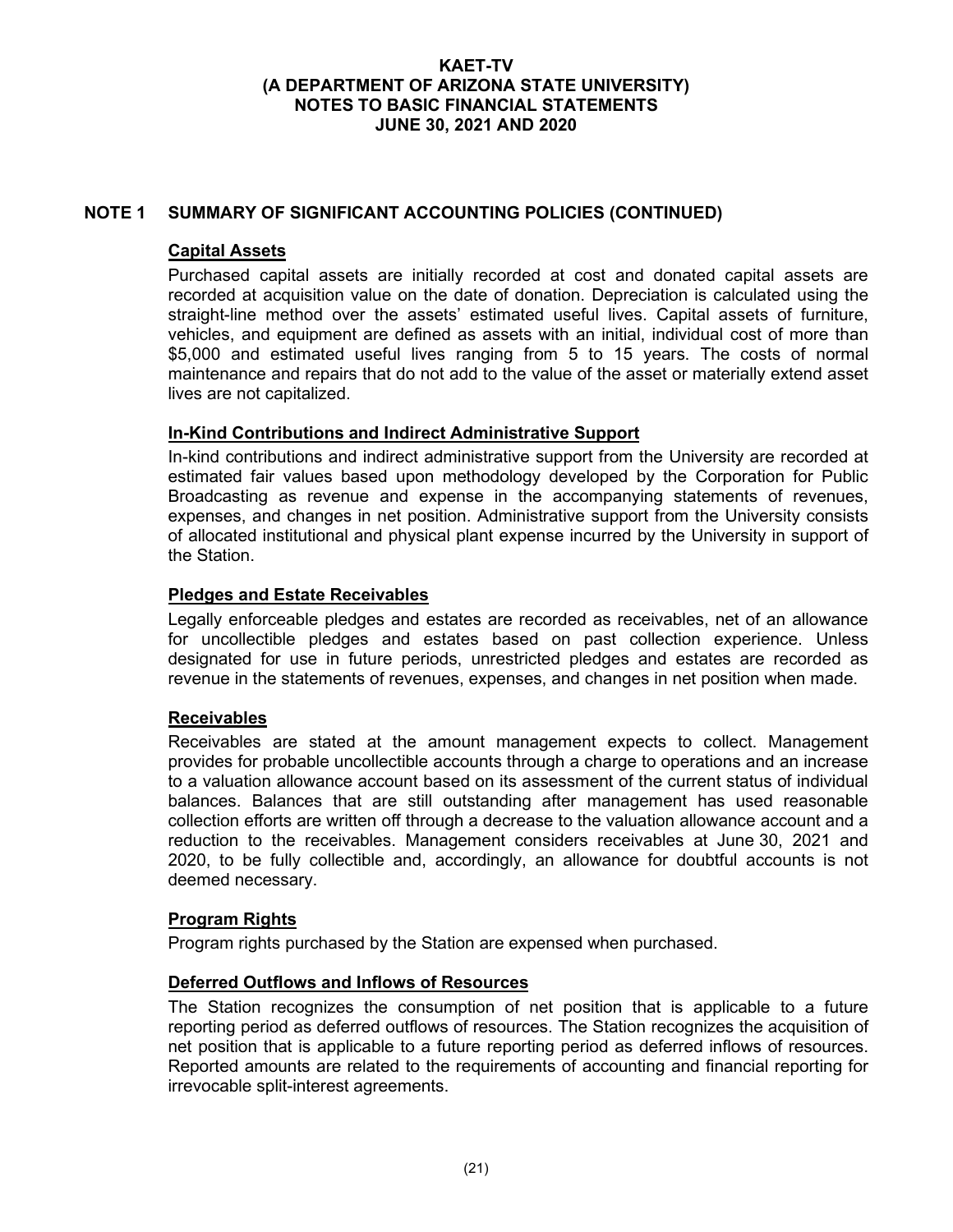# **NOTE 1 SUMMARY OF SIGNIFICANT ACCOUNTING POLICIES (CONTINUED)**

# **Capital Assets**

Purchased capital assets are initially recorded at cost and donated capital assets are recorded at acquisition value on the date of donation. Depreciation is calculated using the straight-line method over the assets' estimated useful lives. Capital assets of furniture, vehicles, and equipment are defined as assets with an initial, individual cost of more than \$5,000 and estimated useful lives ranging from 5 to 15 years. The costs of normal maintenance and repairs that do not add to the value of the asset or materially extend asset lives are not capitalized.

# **In-Kind Contributions and Indirect Administrative Support**

In-kind contributions and indirect administrative support from the University are recorded at estimated fair values based upon methodology developed by the Corporation for Public Broadcasting as revenue and expense in the accompanying statements of revenues, expenses, and changes in net position. Administrative support from the University consists of allocated institutional and physical plant expense incurred by the University in support of the Station.

### **Pledges and Estate Receivables**

Legally enforceable pledges and estates are recorded as receivables, net of an allowance for uncollectible pledges and estates based on past collection experience. Unless designated for use in future periods, unrestricted pledges and estates are recorded as revenue in the statements of revenues, expenses, and changes in net position when made.

# **Receivables**

Receivables are stated at the amount management expects to collect. Management provides for probable uncollectible accounts through a charge to operations and an increase to a valuation allowance account based on its assessment of the current status of individual balances. Balances that are still outstanding after management has used reasonable collection efforts are written off through a decrease to the valuation allowance account and a reduction to the receivables. Management considers receivables at June 30, 2021 and 2020, to be fully collectible and, accordingly, an allowance for doubtful accounts is not deemed necessary.

#### **Program Rights**

Program rights purchased by the Station are expensed when purchased.

### **Deferred Outflows and Inflows of Resources**

The Station recognizes the consumption of net position that is applicable to a future reporting period as deferred outflows of resources. The Station recognizes the acquisition of net position that is applicable to a future reporting period as deferred inflows of resources. Reported amounts are related to the requirements of accounting and financial reporting for irrevocable split-interest agreements.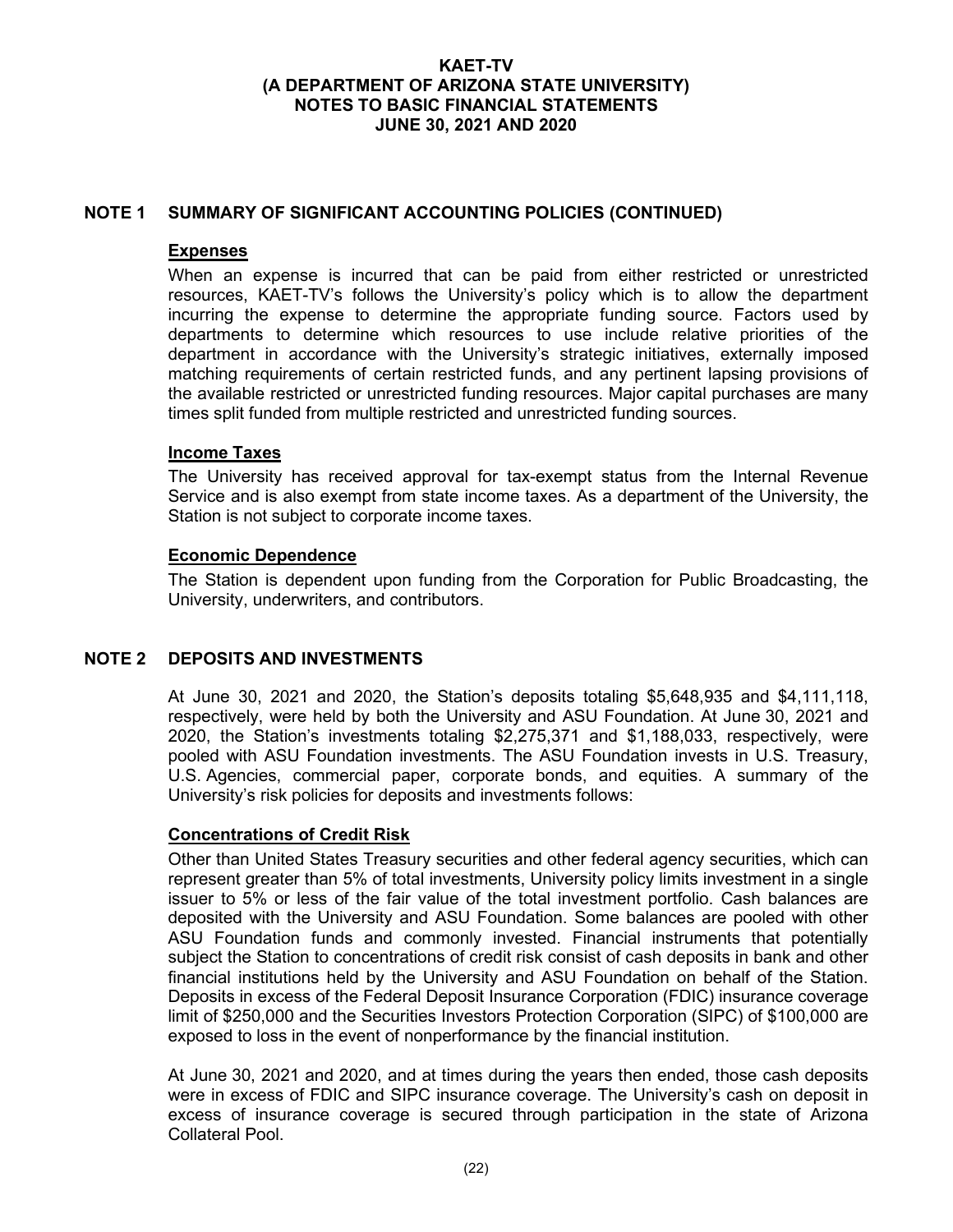## **NOTE 1 SUMMARY OF SIGNIFICANT ACCOUNTING POLICIES (CONTINUED)**

#### **Expenses**

When an expense is incurred that can be paid from either restricted or unrestricted resources, KAET-TV's follows the University's policy which is to allow the department incurring the expense to determine the appropriate funding source. Factors used by departments to determine which resources to use include relative priorities of the department in accordance with the University's strategic initiatives, externally imposed matching requirements of certain restricted funds, and any pertinent lapsing provisions of the available restricted or unrestricted funding resources. Major capital purchases are many times split funded from multiple restricted and unrestricted funding sources.

#### **Income Taxes**

The University has received approval for tax-exempt status from the Internal Revenue Service and is also exempt from state income taxes. As a department of the University, the Station is not subject to corporate income taxes.

#### **Economic Dependence**

The Station is dependent upon funding from the Corporation for Public Broadcasting, the University, underwriters, and contributors.

# **NOTE 2 DEPOSITS AND INVESTMENTS**

At June 30, 2021 and 2020, the Station's deposits totaling \$5,648,935 and \$4,111,118, respectively, were held by both the University and ASU Foundation. At June 30, 2021 and 2020, the Station's investments totaling \$2,275,371 and \$1,188,033, respectively, were pooled with ASU Foundation investments. The ASU Foundation invests in U.S. Treasury, U.S. Agencies, commercial paper, corporate bonds, and equities. A summary of the University's risk policies for deposits and investments follows:

#### **Concentrations of Credit Risk**

Other than United States Treasury securities and other federal agency securities, which can represent greater than 5% of total investments, University policy limits investment in a single issuer to 5% or less of the fair value of the total investment portfolio. Cash balances are deposited with the University and ASU Foundation. Some balances are pooled with other ASU Foundation funds and commonly invested. Financial instruments that potentially subject the Station to concentrations of credit risk consist of cash deposits in bank and other financial institutions held by the University and ASU Foundation on behalf of the Station. Deposits in excess of the Federal Deposit Insurance Corporation (FDIC) insurance coverage limit of \$250,000 and the Securities Investors Protection Corporation (SIPC) of \$100,000 are exposed to loss in the event of nonperformance by the financial institution.

At June 30, 2021 and 2020, and at times during the years then ended, those cash deposits were in excess of FDIC and SIPC insurance coverage. The University's cash on deposit in excess of insurance coverage is secured through participation in the state of Arizona Collateral Pool.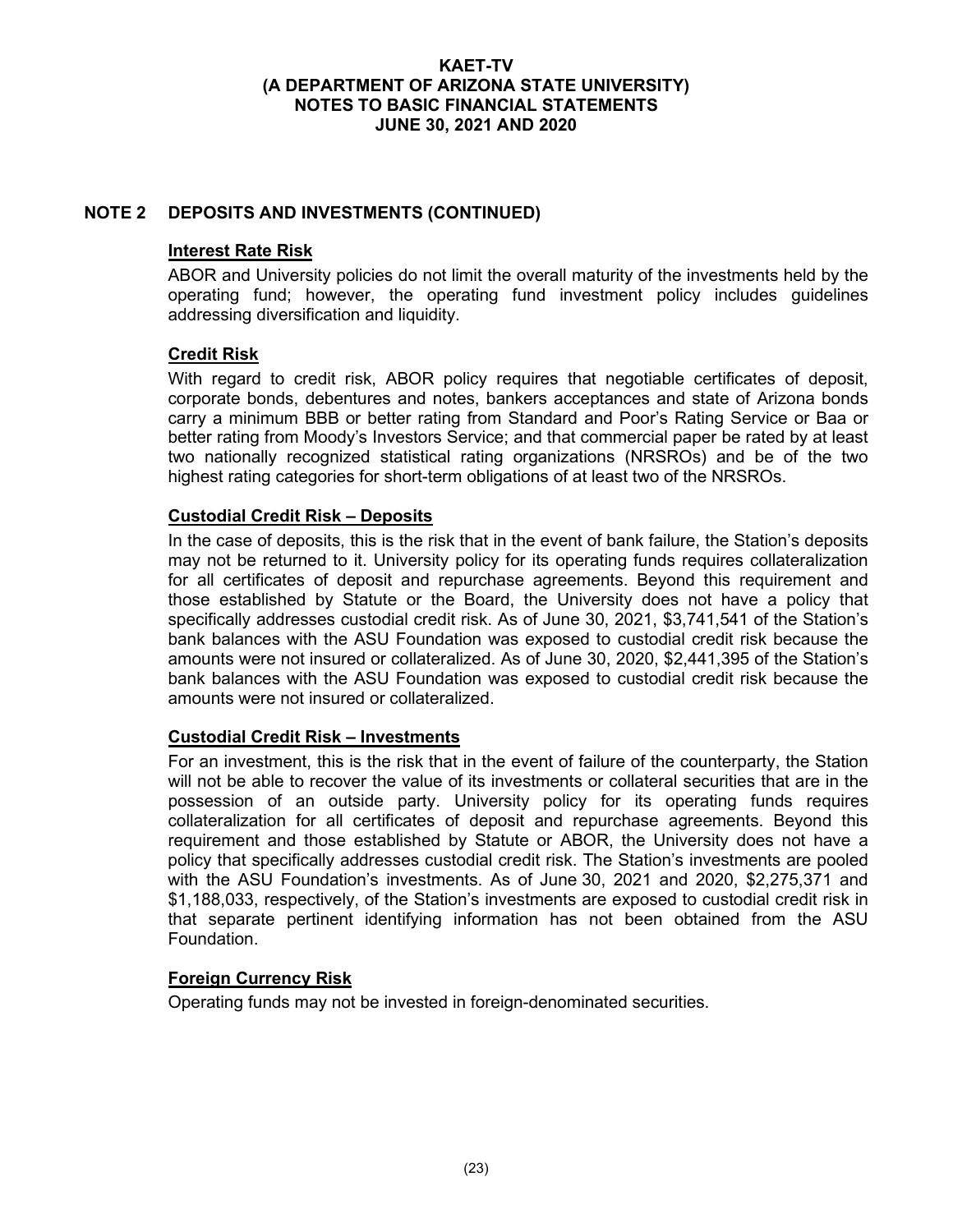# **NOTE 2 DEPOSITS AND INVESTMENTS (CONTINUED)**

## **Interest Rate Risk**

ABOR and University policies do not limit the overall maturity of the investments held by the operating fund; however, the operating fund investment policy includes guidelines addressing diversification and liquidity.

# **Credit Risk**

With regard to credit risk, ABOR policy requires that negotiable certificates of deposit, corporate bonds, debentures and notes, bankers acceptances and state of Arizona bonds carry a minimum BBB or better rating from Standard and Poor's Rating Service or Baa or better rating from Moody's Investors Service; and that commercial paper be rated by at least two nationally recognized statistical rating organizations (NRSROs) and be of the two highest rating categories for short-term obligations of at least two of the NRSROs.

### **Custodial Credit Risk – Deposits**

In the case of deposits, this is the risk that in the event of bank failure, the Station's deposits may not be returned to it. University policy for its operating funds requires collateralization for all certificates of deposit and repurchase agreements. Beyond this requirement and those established by Statute or the Board, the University does not have a policy that specifically addresses custodial credit risk. As of June 30, 2021, \$3,741,541 of the Station's bank balances with the ASU Foundation was exposed to custodial credit risk because the amounts were not insured or collateralized. As of June 30, 2020, \$2,441,395 of the Station's bank balances with the ASU Foundation was exposed to custodial credit risk because the amounts were not insured or collateralized.

# **Custodial Credit Risk – Investments**

For an investment, this is the risk that in the event of failure of the counterparty, the Station will not be able to recover the value of its investments or collateral securities that are in the possession of an outside party. University policy for its operating funds requires collateralization for all certificates of deposit and repurchase agreements. Beyond this requirement and those established by Statute or ABOR, the University does not have a policy that specifically addresses custodial credit risk. The Station's investments are pooled with the ASU Foundation's investments. As of June 30, 2021 and 2020, \$2,275,371 and \$1,188,033, respectively, of the Station's investments are exposed to custodial credit risk in that separate pertinent identifying information has not been obtained from the ASU Foundation.

#### **Foreign Currency Risk**

Operating funds may not be invested in foreign-denominated securities.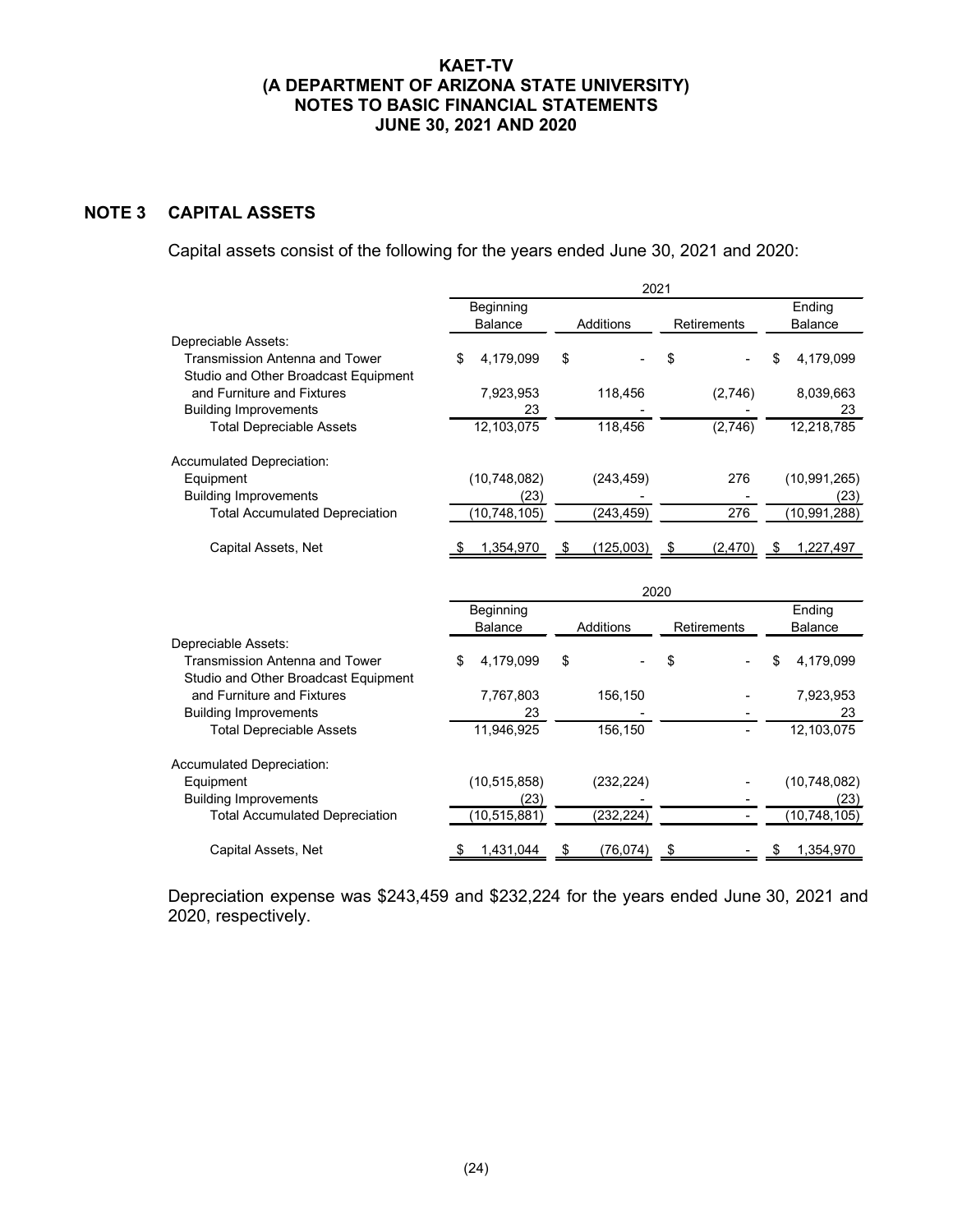# **NOTE 3 CAPITAL ASSETS**

Capital assets consist of the following for the years ended June 30, 2021 and 2020:

|                                                                               | 2021            |                |                    |                 |  |  |  |  |  |  |  |
|-------------------------------------------------------------------------------|-----------------|----------------|--------------------|-----------------|--|--|--|--|--|--|--|
|                                                                               | Beginning       | Ending         |                    |                 |  |  |  |  |  |  |  |
|                                                                               | <b>Balance</b>  | Additions      | <b>Retirements</b> | <b>Balance</b>  |  |  |  |  |  |  |  |
| Depreciable Assets:                                                           |                 |                |                    |                 |  |  |  |  |  |  |  |
| Transmission Antenna and Tower<br>Studio and Other Broadcast Equipment        | 4.179.099<br>\$ | \$             | \$                 | 4.179.099<br>\$ |  |  |  |  |  |  |  |
| and Furniture and Fixtures                                                    | 7,923,953       | 118,456        | (2,746)            | 8,039,663       |  |  |  |  |  |  |  |
| <b>Building Improvements</b>                                                  | 23              |                |                    | 23              |  |  |  |  |  |  |  |
| <b>Total Depreciable Assets</b>                                               | 12,103,075      | 118,456        | (2,746)            | 12,218,785      |  |  |  |  |  |  |  |
| Accumulated Depreciation:                                                     |                 |                |                    |                 |  |  |  |  |  |  |  |
| Equipment                                                                     | (10, 748, 082)  | (243, 459)     | 276                | (10,991,265)    |  |  |  |  |  |  |  |
| <b>Building Improvements</b>                                                  | (23)            |                |                    | (23)            |  |  |  |  |  |  |  |
| <b>Total Accumulated Depreciation</b>                                         | (10,748,105)    | (243,459)      | 276                | (10,991,288)    |  |  |  |  |  |  |  |
| Capital Assets, Net                                                           | 1,354,970       | (125,003)<br>S | (2,470)<br>\$      | 1,227,497<br>S  |  |  |  |  |  |  |  |
|                                                                               |                 | 2020           |                    |                 |  |  |  |  |  |  |  |
|                                                                               | Beginning       | Ending         |                    |                 |  |  |  |  |  |  |  |
|                                                                               | <b>Balance</b>  | Additions      | Retirements        | <b>Balance</b>  |  |  |  |  |  |  |  |
| Depreciable Assets:                                                           |                 |                |                    |                 |  |  |  |  |  |  |  |
| <b>Transmission Antenna and Tower</b><br>Studio and Other Broadcast Equipment | 4,179,099<br>\$ | \$             | \$                 | 4,179,099<br>\$ |  |  |  |  |  |  |  |
| and Furniture and Fixtures                                                    | 7,767,803       | 156,150        |                    | 7,923,953       |  |  |  |  |  |  |  |
| <b>Building Improvements</b>                                                  | 23              |                |                    | 23              |  |  |  |  |  |  |  |
| <b>Total Depreciable Assets</b>                                               | 11,946,925      | 156,150        |                    | 12,103,075      |  |  |  |  |  |  |  |
|                                                                               |                 |                |                    |                 |  |  |  |  |  |  |  |

| Accumulated Depreciation:             |                |            |                          |              |
|---------------------------------------|----------------|------------|--------------------------|--------------|
| Equipment                             | (10, 515, 858) | (232, 224) | $\overline{\phantom{0}}$ | (10,748,082) |
| <b>Building Improvements</b>          | (23)           |            | $\overline{\phantom{0}}$ | (23)         |
| <b>Total Accumulated Depreciation</b> | (10,515,881)   | (232.224)  | $\overline{\phantom{0}}$ | (10,748,105) |
|                                       |                |            |                          |              |
| Capital Assets, Net                   | 1.431.044      | (76.074)   | ۰                        | 1.354.970    |

Depreciation expense was \$243,459 and \$232,224 for the years ended June 30, 2021 and 2020, respectively.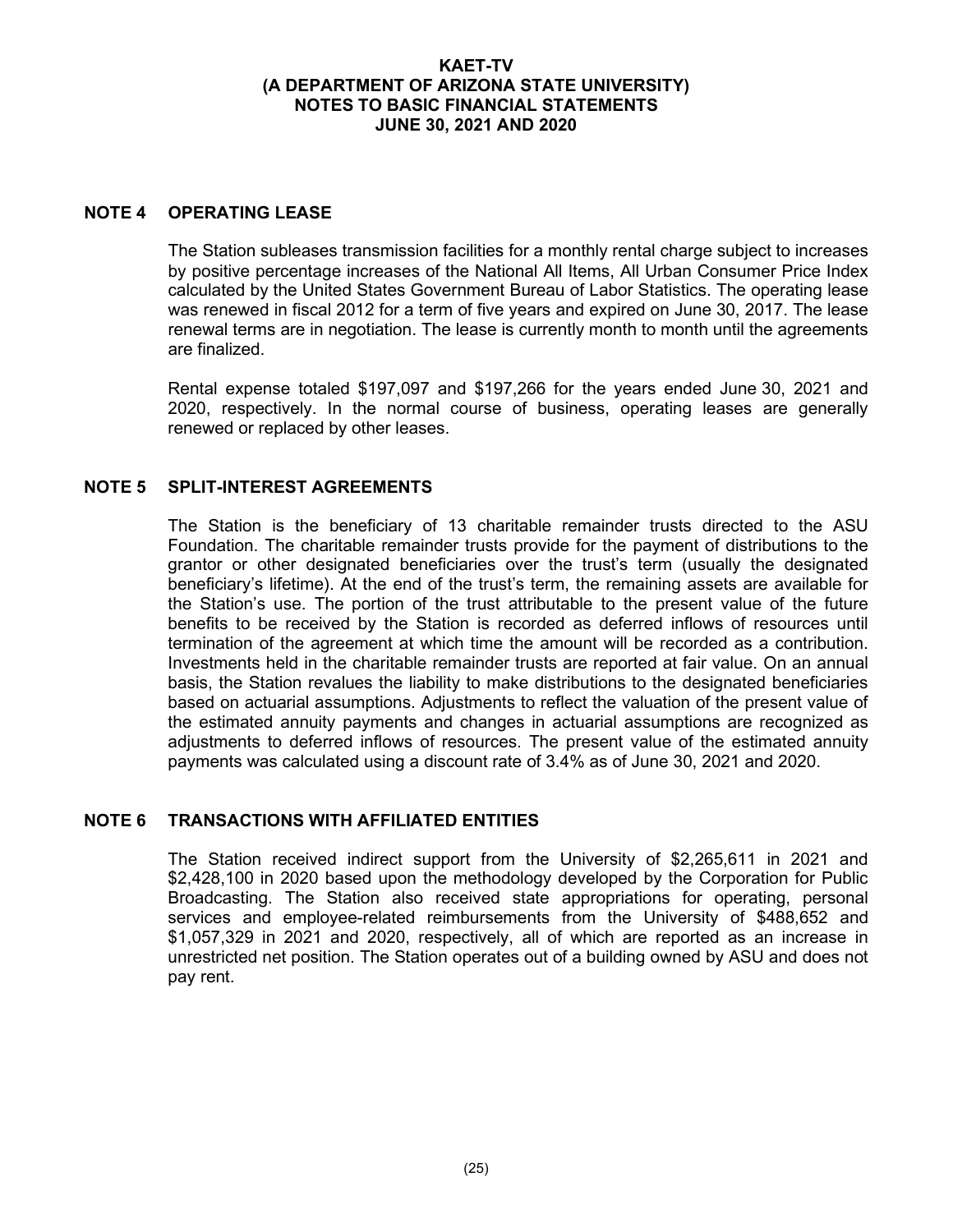### **NOTE 4 OPERATING LEASE**

The Station subleases transmission facilities for a monthly rental charge subject to increases by positive percentage increases of the National All Items, All Urban Consumer Price Index calculated by the United States Government Bureau of Labor Statistics. The operating lease was renewed in fiscal 2012 for a term of five years and expired on June 30, 2017. The lease renewal terms are in negotiation. The lease is currently month to month until the agreements are finalized.

Rental expense totaled \$197,097 and \$197,266 for the years ended June 30, 2021 and 2020, respectively. In the normal course of business, operating leases are generally renewed or replaced by other leases.

# **NOTE 5 SPLIT-INTEREST AGREEMENTS**

The Station is the beneficiary of 13 charitable remainder trusts directed to the ASU Foundation. The charitable remainder trusts provide for the payment of distributions to the grantor or other designated beneficiaries over the trust's term (usually the designated beneficiary's lifetime). At the end of the trust's term, the remaining assets are available for the Station's use. The portion of the trust attributable to the present value of the future benefits to be received by the Station is recorded as deferred inflows of resources until termination of the agreement at which time the amount will be recorded as a contribution. Investments held in the charitable remainder trusts are reported at fair value. On an annual basis, the Station revalues the liability to make distributions to the designated beneficiaries based on actuarial assumptions. Adjustments to reflect the valuation of the present value of the estimated annuity payments and changes in actuarial assumptions are recognized as adjustments to deferred inflows of resources. The present value of the estimated annuity payments was calculated using a discount rate of 3.4% as of June 30, 2021 and 2020.

# **NOTE 6 TRANSACTIONS WITH AFFILIATED ENTITIES**

The Station received indirect support from the University of \$2,265,611 in 2021 and \$2,428,100 in 2020 based upon the methodology developed by the Corporation for Public Broadcasting. The Station also received state appropriations for operating, personal services and employee-related reimbursements from the University of \$488,652 and \$1,057,329 in 2021 and 2020, respectively, all of which are reported as an increase in unrestricted net position. The Station operates out of a building owned by ASU and does not pay rent.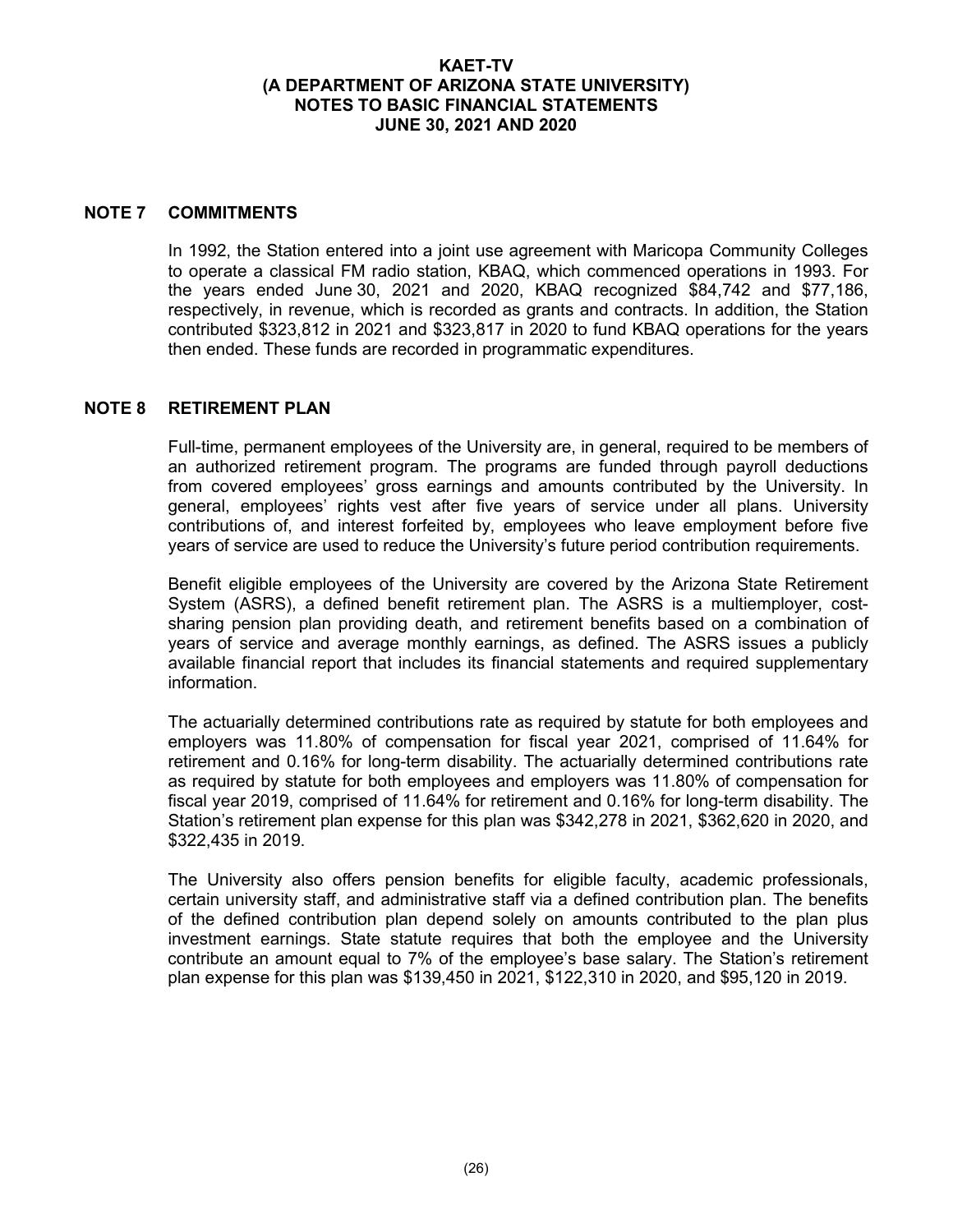### **NOTE 7 COMMITMENTS**

In 1992, the Station entered into a joint use agreement with Maricopa Community Colleges to operate a classical FM radio station, KBAQ, which commenced operations in 1993. For the years ended June 30, 2021 and 2020, KBAQ recognized \$84,742 and \$77,186, respectively, in revenue, which is recorded as grants and contracts. In addition, the Station contributed \$323,812 in 2021 and \$323,817 in 2020 to fund KBAQ operations for the years then ended. These funds are recorded in programmatic expenditures.

#### **NOTE 8 RETIREMENT PLAN**

Full-time, permanent employees of the University are, in general, required to be members of an authorized retirement program. The programs are funded through payroll deductions from covered employees' gross earnings and amounts contributed by the University. In general, employees' rights vest after five years of service under all plans. University contributions of, and interest forfeited by, employees who leave employment before five years of service are used to reduce the University's future period contribution requirements.

Benefit eligible employees of the University are covered by the Arizona State Retirement System (ASRS), a defined benefit retirement plan. The ASRS is a multiemployer, costsharing pension plan providing death, and retirement benefits based on a combination of years of service and average monthly earnings, as defined. The ASRS issues a publicly available financial report that includes its financial statements and required supplementary information.

The actuarially determined contributions rate as required by statute for both employees and employers was 11.80% of compensation for fiscal year 2021, comprised of 11.64% for retirement and 0.16% for long-term disability. The actuarially determined contributions rate as required by statute for both employees and employers was 11.80% of compensation for fiscal year 2019, comprised of 11.64% for retirement and 0.16% for long-term disability. The Station's retirement plan expense for this plan was \$342,278 in 2021, \$362,620 in 2020, and \$322,435 in 2019.

The University also offers pension benefits for eligible faculty, academic professionals, certain university staff, and administrative staff via a defined contribution plan. The benefits of the defined contribution plan depend solely on amounts contributed to the plan plus investment earnings. State statute requires that both the employee and the University contribute an amount equal to 7% of the employee's base salary. The Station's retirement plan expense for this plan was \$139,450 in 2021, \$122,310 in 2020, and \$95,120 in 2019.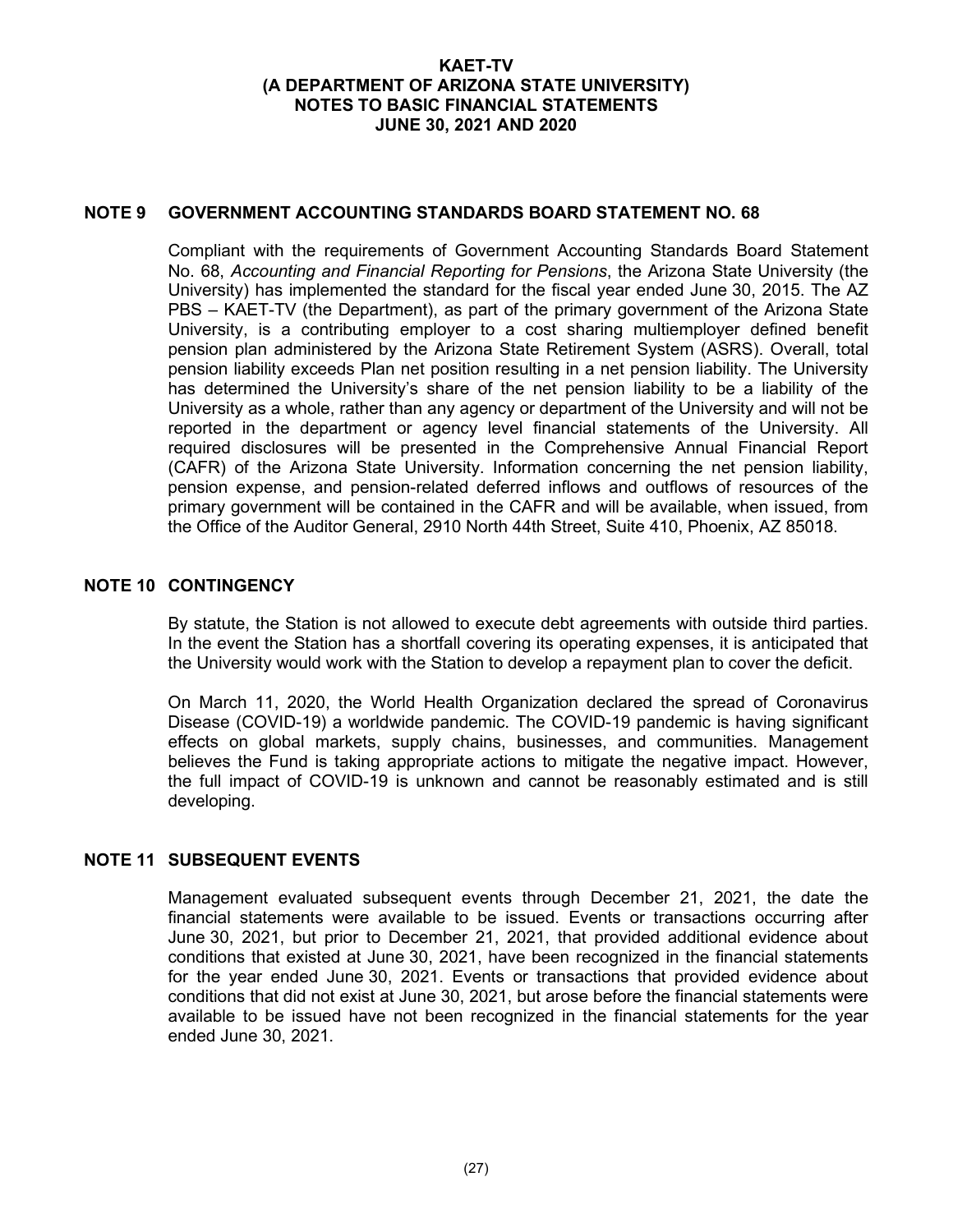## **NOTE 9 GOVERNMENT ACCOUNTING STANDARDS BOARD STATEMENT NO. 68**

Compliant with the requirements of Government Accounting Standards Board Statement No. 68, *Accounting and Financial Reporting for Pensions*, the Arizona State University (the University) has implemented the standard for the fiscal year ended June 30, 2015. The AZ PBS – KAET-TV (the Department), as part of the primary government of the Arizona State University, is a contributing employer to a cost sharing multiemployer defined benefit pension plan administered by the Arizona State Retirement System (ASRS). Overall, total pension liability exceeds Plan net position resulting in a net pension liability. The University has determined the University's share of the net pension liability to be a liability of the University as a whole, rather than any agency or department of the University and will not be reported in the department or agency level financial statements of the University. All required disclosures will be presented in the Comprehensive Annual Financial Report (CAFR) of the Arizona State University. Information concerning the net pension liability, pension expense, and pension-related deferred inflows and outflows of resources of the primary government will be contained in the CAFR and will be available, when issued, from the Office of the Auditor General, 2910 North 44th Street, Suite 410, Phoenix, AZ 85018.

## **NOTE 10 CONTINGENCY**

By statute, the Station is not allowed to execute debt agreements with outside third parties. In the event the Station has a shortfall covering its operating expenses, it is anticipated that the University would work with the Station to develop a repayment plan to cover the deficit.

On March 11, 2020, the World Health Organization declared the spread of Coronavirus Disease (COVID-19) a worldwide pandemic. The COVID-19 pandemic is having significant effects on global markets, supply chains, businesses, and communities. Management believes the Fund is taking appropriate actions to mitigate the negative impact. However, the full impact of COVID-19 is unknown and cannot be reasonably estimated and is still developing.

# **NOTE 11 SUBSEQUENT EVENTS**

Management evaluated subsequent events through December 21, 2021, the date the financial statements were available to be issued. Events or transactions occurring after June 30, 2021, but prior to December 21, 2021, that provided additional evidence about conditions that existed at June 30, 2021, have been recognized in the financial statements for the year ended June 30, 2021. Events or transactions that provided evidence about conditions that did not exist at June 30, 2021, but arose before the financial statements were available to be issued have not been recognized in the financial statements for the year ended June 30, 2021.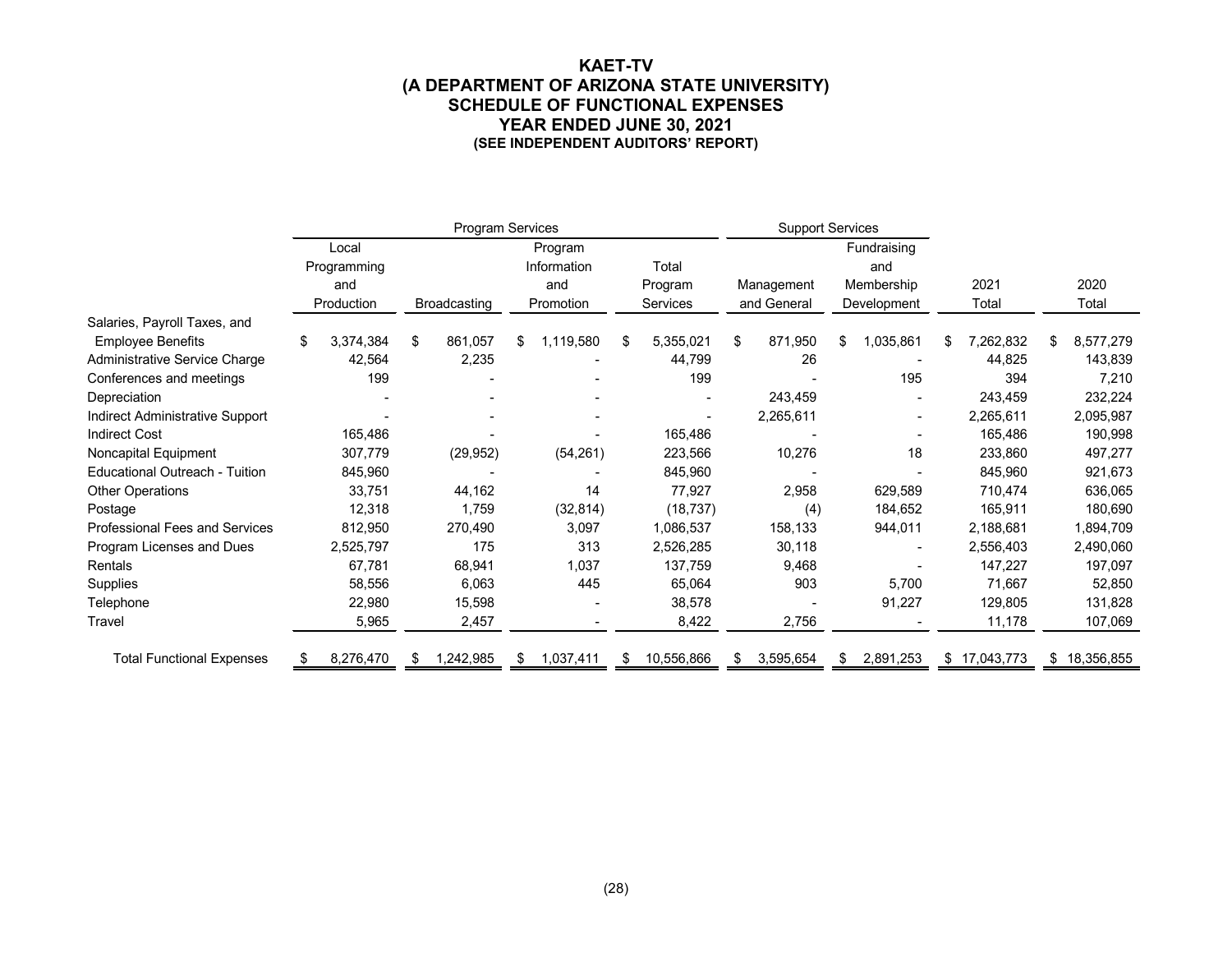### **KAET-TV (A DEPARTMENT OF ARIZONA STATE UNIVERSITY) SCHEDULE OF FUNCTIONAL EXPENSES YEAR ENDED JUNE 30, 2021 (SEE INDEPENDENT AUDITORS' REPORT)**

|                                       | Program Services |                   |    |                     |     |                  | <b>Support Services</b> |                     |     |                           |     |                           |   |               |   |              |
|---------------------------------------|------------------|-------------------|----|---------------------|-----|------------------|-------------------------|---------------------|-----|---------------------------|-----|---------------------------|---|---------------|---|--------------|
|                                       |                  | Local             |    |                     |     | Program          |                         |                     |     |                           |     | Fundraising               |   |               |   |              |
|                                       | Programming      |                   |    | Information         |     |                  | Total                   |                     | and |                           |     |                           |   |               |   |              |
|                                       |                  | and<br>Production |    | <b>Broadcasting</b> |     | and<br>Promotion |                         | Program<br>Services |     | Management<br>and General |     | Membership<br>Development |   | 2021<br>Total |   | 2020         |
|                                       |                  |                   |    |                     |     |                  |                         |                     |     |                           |     |                           |   |               |   | Total        |
| Salaries, Payroll Taxes, and          |                  |                   |    |                     |     |                  |                         |                     |     |                           |     |                           |   |               |   |              |
| <b>Employee Benefits</b>              | \$               | 3,374,384         | \$ | 861,057             | SS. | 1,119,580        | S                       | 5,355,021           | \$  | 871,950                   | \$. | 1,035,861                 | S | 7,262,832     | S | 8,577,279    |
| Administrative Service Charge         |                  | 42,564            |    | 2,235               |     |                  |                         | 44,799              |     | 26                        |     |                           |   | 44,825        |   | 143,839      |
| Conferences and meetings              |                  | 199               |    |                     |     |                  |                         | 199                 |     |                           |     | 195                       |   | 394           |   | 7,210        |
| Depreciation                          |                  |                   |    |                     |     |                  |                         |                     |     | 243,459                   |     |                           |   | 243,459       |   | 232,224      |
| Indirect Administrative Support       |                  |                   |    |                     |     |                  |                         |                     |     | 2,265,611                 |     |                           |   | 2,265,611     |   | 2,095,987    |
| <b>Indirect Cost</b>                  |                  | 165,486           |    |                     |     |                  |                         | 165,486             |     |                           |     |                           |   | 165,486       |   | 190,998      |
| Noncapital Equipment                  |                  | 307,779           |    | (29, 952)           |     | (54, 261)        |                         | 223,566             |     | 10,276                    |     | 18                        |   | 233,860       |   | 497,277      |
| Educational Outreach - Tuition        |                  | 845,960           |    |                     |     |                  |                         | 845,960             |     |                           |     |                           |   | 845,960       |   | 921,673      |
| <b>Other Operations</b>               |                  | 33,751            |    | 44,162              |     | 14               |                         | 77,927              |     | 2,958                     |     | 629,589                   |   | 710,474       |   | 636,065      |
| Postage                               |                  | 12,318            |    | 1,759               |     | (32, 814)        |                         | (18, 737)           |     | (4)                       |     | 184,652                   |   | 165,911       |   | 180,690      |
| <b>Professional Fees and Services</b> |                  | 812,950           |    | 270,490             |     | 3,097            |                         | 1,086,537           |     | 158,133                   |     | 944,011                   |   | 2,188,681     |   | 1,894,709    |
| Program Licenses and Dues             |                  | 2,525,797         |    | 175                 |     | 313              |                         | 2,526,285           |     | 30,118                    |     |                           |   | 2,556,403     |   | 2,490,060    |
| Rentals                               |                  | 67,781            |    | 68,941              |     | 1,037            |                         | 137,759             |     | 9,468                     |     |                           |   | 147,227       |   | 197,097      |
| Supplies                              |                  | 58,556            |    | 6,063               |     | 445              |                         | 65,064              |     | 903                       |     | 5,700                     |   | 71,667        |   | 52,850       |
| Telephone                             |                  | 22,980            |    | 15,598              |     |                  |                         | 38,578              |     |                           |     | 91,227                    |   | 129,805       |   | 131,828      |
| Travel                                |                  | 5,965             |    | 2,457               |     |                  |                         | 8,422               |     | 2,756                     |     |                           |   | 11,178        |   | 107,069      |
| <b>Total Functional Expenses</b>      |                  | 8,276,470         |    | ,242,985            |     | 1,037,411        |                         | 10,556,866          |     | 3,595,654                 |     | 2,891,253                 |   | \$17,043,773  |   | \$18,356,855 |